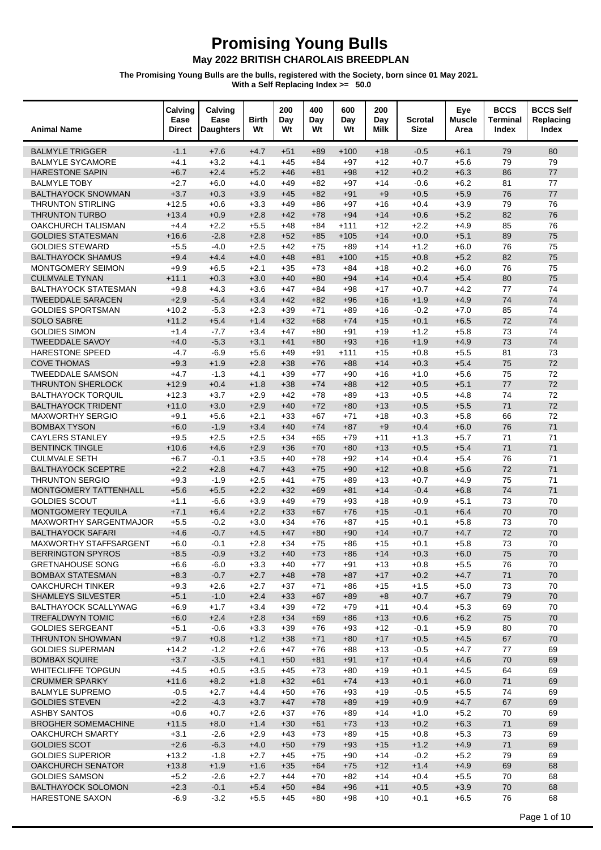| <b>Animal Name</b>                                 | Calving<br>Ease<br><b>Direct</b> | Calving<br>Ease<br><b>Daughters</b> | <b>Birth</b><br>Wt | 200<br>Day<br>Wt | 400<br>Day<br>Wt | 600<br>Day<br>Wt | 200<br>Day<br>Milk | <b>Scrotal</b><br><b>Size</b> | Eye<br><b>Muscle</b><br>Area | <b>BCCS</b><br><b>Terminal</b><br>Index | <b>BCCS Self</b><br>Replacing<br>Index |
|----------------------------------------------------|----------------------------------|-------------------------------------|--------------------|------------------|------------------|------------------|--------------------|-------------------------------|------------------------------|-----------------------------------------|----------------------------------------|
| <b>BALMYLE TRIGGER</b>                             | $-1.1$                           | $+7.6$                              | $+4.7$             | $+51$            | $+89$            | $+100$           | $+18$              | $-0.5$                        | $+6.1$                       | 79                                      | 80                                     |
| <b>BALMYLE SYCAMORE</b>                            | $+4.1$                           | $+3.2$                              | $+4.1$             | $+45$            | $+84$            | $+97$            | $+12$              | $+0.7$                        | $+5.6$                       | 79                                      | 79                                     |
| <b>HARESTONE SAPIN</b>                             | $+6.7$                           | $+2.4$                              | $+5.2$             | $+46$            | $+81$            | $+98$            | $+12$              | $+0.2$                        | $+6.3$                       | 86                                      | 77                                     |
| <b>BALMYLE TOBY</b>                                | $+2.7$                           | $+6.0$                              | $+4.0$             | $+49$            | +82              | $+97$            | $+14$              | $-0.6$                        | $+6.2$                       | 81                                      | 77                                     |
| <b>BALTHAYOCK SNOWMAN</b>                          | $+3.7$                           | $+0.3$                              | $+3.9$             | $+45$            | $+82$            | $+91$            | $+9$               | $+0.5$                        | $+5.9$                       | 76                                      | 77                                     |
| <b>THRUNTON STIRLING</b>                           | $+12.5$                          | $+0.6$                              | $+3.3$             | $+49$            | $+86$            | $+97$            | $+16$              | $+0.4$                        | $+3.9$                       | 79                                      | 76                                     |
| <b>THRUNTON TURBO</b><br><b>OAKCHURCH TALISMAN</b> | $+13.4$                          | $+0.9$<br>$+2.2$                    | $+2.8$<br>$+5.5$   | $+42$<br>$+48$   | $+78$            | $+94$            | $+14$              | $+0.6$<br>$+2.2$              | $+5.2$<br>$+4.9$             | 82<br>85                                | 76<br>76                               |
| <b>GOLDIES STATESMAN</b>                           | $+4.4$<br>$+16.6$                | $-2.8$                              | $+2.8$             | $+52$            | $+84$<br>$+85$   | $+111$<br>$+105$ | $+12$<br>$+14$     | $+0.0$                        | $+5.1$                       | 89                                      | 75                                     |
| <b>GOLDIES STEWARD</b>                             | $+5.5$                           | $-4.0$                              | $+2.5$             | $+42$            | $+75$            | $+89$            | $+14$              | $+1.2$                        | $+6.0$                       | 76                                      | 75                                     |
| <b>BALTHAYOCK SHAMUS</b>                           | $+9.4$                           | $+4.4$                              | $+4.0$             | $+48$            | $+81$            | $+100$           | $+15$              | $+0.8$                        | $+5.2$                       | 82                                      | 75                                     |
| MONTGOMERY SEIMON                                  | $+9.9$                           | $+6.5$                              | $+2.1$             | $+35$            | $+73$            | $+84$            | $+18$              | $+0.2$                        | $+6.0$                       | 76                                      | 75                                     |
| <b>CULMVALE TYNAN</b>                              | $+11.1$                          | $+0.3$                              | $+3.0$             | $+40$            | $+80$            | $+94$            | $+14$              | $+0.4$                        | $+5.4$                       | 80                                      | 75                                     |
| <b>BALTHAYOCK STATESMAN</b>                        | $+9.8$                           | $+4.3$                              | $+3.6$             | $+47$            | +84              | +98              | $+17$              | $+0.7$                        | $+4.2$                       | 77                                      | 74                                     |
| <b>TWEEDDALE SARACEN</b>                           | $+2.9$                           | $-5.4$                              | $+3.4$             | $+42$            | $+82$            | $+96$            | $+16$              | $+1.9$                        | $+4.9$                       | 74                                      | 74                                     |
| <b>GOLDIES SPORTSMAN</b>                           | $+10.2$                          | $-5.3$                              | $+2.3$             | $+39$            | $+71$            | +89              | $+16$              | $-0.2$                        | $+7.0$                       | 85                                      | 74                                     |
| <b>SOLO SABRE</b>                                  | $+11.2$                          | $+5.4$                              | $+1.4$             | $+32$            | $+68$            | $+74$            | $+15$              | $+0.1$                        | $+6.5$                       | 72                                      | 74                                     |
| <b>GOLDIES SIMON</b>                               | $+1.4$                           | $-7.7$                              | $+3.4$             | $+47$            | $+80$            | +91              | $+19$              | $+1.2$                        | $+5.8$                       | 73                                      | 74                                     |
| <b>TWEEDDALE SAVOY</b>                             | $+4.0$                           | $-5.3$                              | $+3.1$             | $+41$            | $+80$            | $+93$            | $+16$              | $+1.9$                        | $+4.9$                       | 73                                      | 74                                     |
| HARESTONE SPEED<br><b>COVE THOMAS</b>              | $-4.7$<br>$+9.3$                 | $-6.9$<br>$+1.9$                    | $+5.6$<br>$+2.8$   | $+49$<br>$+38$   | $+91$<br>$+76$   | $+111$<br>$+88$  | $+15$<br>$+14$     | $+0.8$<br>$+0.3$              | $+5.5$<br>$+5.4$             | 81<br>75                                | 73<br>72                               |
| <b>TWEEDDALE SAMSON</b>                            | $+4.7$                           | $-1.3$                              | $+4.1$             | $+39$            | $+77$            | +90              | +16                | $+1.0$                        | $+5.6$                       | 75                                      | 72                                     |
| <b>THRUNTON SHERLOCK</b>                           | $+12.9$                          | $+0.4$                              | $+1.8$             | $+38$            | $+74$            | $+88$            | $+12$              | $+0.5$                        | $+5.1$                       | 77                                      | 72                                     |
| <b>BALTHAYOCK TORQUIL</b>                          | $+12.3$                          | $+3.7$                              | $+2.9$             | $+42$            | $+78$            | +89              | $+13$              | $+0.5$                        | $+4.8$                       | 74                                      | 72                                     |
| <b>BALTHAYOCK TRIDENT</b>                          | $+11.0$                          | $+3.0$                              | $+2.9$             | $+40$            | $+72$            | $+80$            | $+13$              | $+0.5$                        | $+5.5$                       | 71                                      | 72                                     |
| <b>MAXWORTHY SERGIO</b>                            | $+9.1$                           | $+5.6$                              | $+2.1$             | $+33$            | $+67$            | +71              | $+18$              | $+0.3$                        | $+5.8$                       | 66                                      | 72                                     |
| <b>BOMBAX TYSON</b>                                | $+6.0$                           | $-1.9$                              | $+3.4$             | $+40$            | $+74$            | $+87$            | $+9$               | $+0.4$                        | $+6.0$                       | 76                                      | 71                                     |
| <b>CAYLERS STANLEY</b>                             | $+9.5$                           | $+2.5$                              | $+2.5$             | $+34$            | $+65$            | $+79$            | $+11$              | $+1.3$                        | $+5.7$                       | 71                                      | 71                                     |
| <b>BENTINCK TINGLE</b>                             | $+10.6$                          | $+4.6$                              | $+2.9$             | $+36$            | $+70$            | $+80$            | $+13$              | $+0.5$                        | $+5.4$                       | 71                                      | 71                                     |
| <b>CULMVALE SETH</b>                               | +6.7                             | $-0.1$                              | $+3.5$             | $+40$            | $+78$            | +92              | $+14$              | $+0.4$                        | $+5.4$                       | 76                                      | 71                                     |
| <b>BALTHAYOCK SCEPTRE</b>                          | $+2.2$                           | $+2.8$                              | $+4.7$             | $+43$            | $+75$            | $+90$            | $+12$              | $+0.8$                        | $+5.6$                       | 72                                      | 71                                     |
| <b>THRUNTON SERGIO</b>                             | $+9.3$                           | $-1.9$                              | $+2.5$             | $+41$            | $+75$            | +89              | $+13$              | $+0.7$                        | $+4.9$                       | 75                                      | 71                                     |
| MONTGOMERY TATTENHALL<br><b>GOLDIES SCOUT</b>      | $+5.6$<br>$+1.1$                 | $+5.5$<br>$-6.6$                    | $+2.2$<br>$+3.9$   | $+32$<br>$+49$   | $+69$<br>$+79$   | $+81$<br>+93     | $+14$<br>$+18$     | $-0.4$<br>$+0.9$              | $+6.8$<br>$+5.1$             | 74<br>73                                | 71<br>70                               |
| <b>MONTGOMERY TEQUILA</b>                          | $+7.1$                           | $+6.4$                              | $+2.2$             | $+33$            | $+67$            | $+76$            | $+15$              | $-0.1$                        | $+6.4$                       | 70                                      | 70                                     |
| <b>MAXWORTHY SARGENTMAJOR</b>                      | $+5.5$                           | $-0.2$                              | $+3.0$             | $+34$            | $+76$            | $+87$            | $+15$              | $+0.1$                        | $+5.8$                       | 73                                      | 70                                     |
| <b>BALTHAYOCK SAFARI</b>                           | $+4.6$                           | $-0.7$                              | $+4.5$             | $+47$            | $+80$            | $+90$            | $+14$              | $+0.7$                        | $+4.7$                       | 72                                      | 70                                     |
| <b>MAXWORTHY STAFFSARGENT</b>                      | +6.0                             | $-0.1$                              | $+2.8$             | $+34$            | $+75$            | +86              | $+15$              | $+0.1$                        | $+5.8$                       | 73                                      | 70                                     |
| <b>BERRINGTON SPYROS</b>                           | $+8.5$                           | $-0.9$                              | $+3.2$             | $+40$            | $+73$            | $+86$            | $+14$              | $+0.3$                        | $+6.0$                       | 75                                      | $70\,$                                 |
| <b>GRETNAHOUSE SONG</b>                            | $+6.6$                           | $-6.0$                              | $+3.3$             | $+40$            | $+77$            | $+91$            | $+13$              | $+0.8$                        | $+5.5$                       | 76                                      | 70                                     |
| <b>BOMBAX STATESMAN</b>                            | $+8.3$                           | $-0.7$                              | $+2.7$             | $+48$            | $+78$            | $+87$            | $+17$              | $+0.2$                        | $+4.7$                       | 71                                      | 70                                     |
| <b>OAKCHURCH TINKER</b>                            | $+9.3$                           | $+2.6$                              | $+2.7$             | $+37$            | $+71$            | $+86$            | +15                | $+1.5$                        | $+5.0$                       | 73                                      | 70                                     |
| <b>SHAMLEYS SILVESTER</b>                          | $+5.1$                           | $-1.0$                              | $+2.4$             | $+33$            | $+67$            | $+89$            | $+8$               | $+0.7$                        | $+6.7$                       | 79                                      | 70                                     |
| BALTHAYOCK SCALLYWAG<br><b>TREFALDWYN TOMIC</b>    | $+6.9$<br>$+6.0$                 | $+1.7$<br>$+2.4$                    | $+3.4$<br>$+2.8$   | $+39$<br>$+34$   | $+72$<br>$+69$   | $+79$<br>$+86$   | $+11$<br>$+13$     | $+0.4$<br>$+0.6$              | $+5.3$<br>$+6.2$             | 69<br>75                                | 70<br>70                               |
| <b>GOLDIES SERGEANT</b>                            | $+5.1$                           | $-0.6$                              | $+3.3$             | $+39$            | $+76$            | $+93$            | $+12$              | $-0.1$                        | $+5.9$                       | 80                                      | 70                                     |
| <b>THRUNTON SHOWMAN</b>                            | $+9.7$                           | $+0.8$                              | $+1.2$             | $+38$            | $+71$            | $+80$            | $+17$              | $+0.5$                        | $+4.5$                       | 67                                      | 70                                     |
| <b>GOLDIES SUPERMAN</b>                            | $+14.2$                          | $-1.2$                              | $+2.6$             | $+47$            | $+76$            | $+88$            | $+13$              | $-0.5$                        | $+4.7$                       | 77                                      | 69                                     |
| <b>BOMBAX SQUIRE</b>                               | $+3.7$                           | $-3.5$                              | $+4.1$             | $+50$            | $+81$            | $+91$            | $+17$              | $+0.4$                        | $+4.6$                       | 70                                      | 69                                     |
| WHITECLIFFE TOPGUN                                 | $+4.5$                           | $+0.5$                              | $+3.5$             | $+45$            | $+73$            | $+80$            | $+19$              | $+0.1$                        | $+4.5$                       | 64                                      | 69                                     |
| <b>CRUMMER SPARKY</b>                              | $+11.6$                          | $+8.2$                              | $+1.8$             | $+32$            | $+61$            | $+74$            | $+13$              | $+0.1$                        | $+6.0$                       | 71                                      | 69                                     |
| <b>BALMYLE SUPREMO</b>                             | $-0.5$                           | $+2.7$                              | $+4.4$             | $+50$            | $+76$            | $+93$            | $+19$              | $-0.5$                        | $+5.5$                       | 74                                      | 69                                     |
| <b>GOLDIES STEVEN</b>                              | $+2.2$                           | $-4.3$                              | $+3.7$             | $+47$            | $+78$            | $+89$            | $+19$              | $+0.9$                        | $+4.7$                       | 67                                      | 69                                     |
| <b>ASHBY SANTOS</b>                                | $+0.6$                           | $+0.7$                              | $+2.6$             | $+37$            | $+76$            | +89              | $+14$              | $+1.0$                        | $+5.2$                       | 70                                      | 69                                     |
| <b>BROGHER SOMEMACHINE</b>                         | $+11.5$                          | $+8.0$                              | $+1.4$             | $+30$            | $+61$            | $+73$            | $+13$              | $+0.2$                        | $+6.3$                       | 71                                      | 69                                     |
| <b>OAKCHURCH SMARTY</b>                            | $+3.1$                           | $-2.6$                              | $+2.9$             | $+43$            | $+73$            | +89              | $+15$              | $+0.8$                        | $+5.3$                       | 73                                      | 69                                     |
| <b>GOLDIES SCOT</b><br><b>GOLDIES SUPERIOR</b>     | $+2.6$<br>$+13.2$                | $-6.3$<br>$-1.8$                    | $+4.0$<br>$+2.7$   | $+50$<br>$+45$   | $+79$<br>$+75$   | $+93$<br>$+90$   | $+15$<br>$+14$     | $+1.2$<br>$-0.2$              | $+4.9$<br>$+5.2$             | 71<br>79                                | 69<br>69                               |
| <b>OAKCHURCH SENATOR</b>                           | $+13.8$                          | $+1.9$                              | $+1.6$             | $+35$            | $+64$            | $+75$            | $+12$              | $+1.4$                        | $+4.9$                       | 69                                      | 68                                     |
| <b>GOLDIES SAMSON</b>                              | $+5.2$                           | $-2.6$                              | $+2.7$             | $+44$            | $+70$            | $+82$            | $+14$              | $+0.4$                        | $+5.5$                       | 70                                      | 68                                     |
| <b>BALTHAYOCK SOLOMON</b>                          | $+2.3$                           | $-0.1$                              | $+5.4$             | $+50$            | $+84$            | $+96$            | $+11$              | $+0.5$                        | $+3.9$                       | 70                                      | 68                                     |
| HARESTONE SAXON                                    | $-6.9$                           | $-3.2$                              | $+5.5$             | $+45$            | +80              | $+98$            | +10                | $+0.1$                        | $+6.5$                       | 76                                      | 68                                     |
|                                                    |                                  |                                     |                    |                  |                  |                  |                    |                               |                              |                                         |                                        |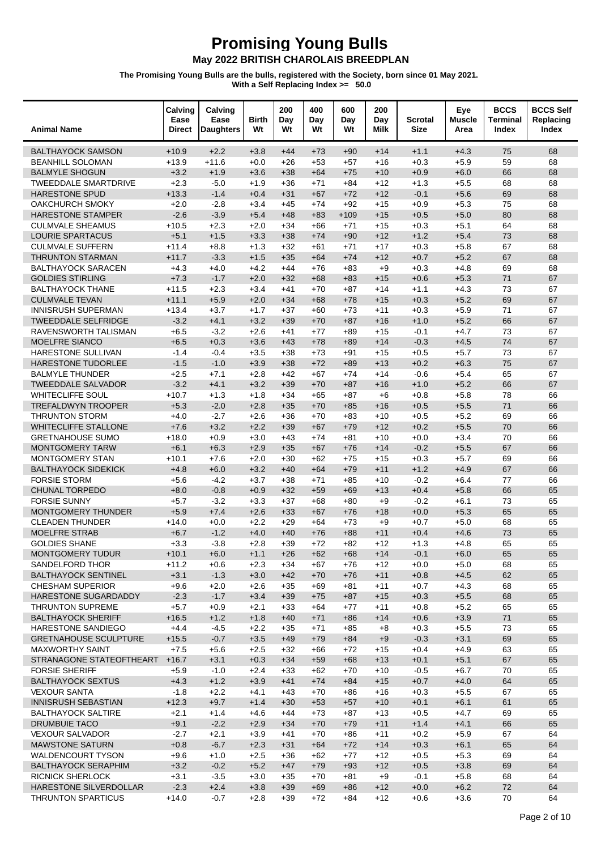| <b>Animal Name</b>                                  | Calving<br>Ease<br>Direct | Calving<br>Ease<br><b>Daughters</b> | <b>Birth</b><br>Wt | 200<br>Day<br>Wt | 400<br>Day<br>Wt | 600<br>Day<br>Wt | 200<br>Day<br>Milk | <b>Scrotal</b><br><b>Size</b> | Eye<br><b>Muscle</b><br>Area | <b>BCCS</b><br><b>Terminal</b><br>Index | <b>BCCS Self</b><br>Replacing<br>Index |
|-----------------------------------------------------|---------------------------|-------------------------------------|--------------------|------------------|------------------|------------------|--------------------|-------------------------------|------------------------------|-----------------------------------------|----------------------------------------|
| <b>BALTHAYOCK SAMSON</b>                            | $+10.9$                   | $+2.2$                              | $+3.8$             | $+44$            | $+73$            | $+90$            | $+14$              | $+1.1$                        | $+4.3$                       | 75                                      | 68                                     |
| <b>BEANHILL SOLOMAN</b>                             | $+13.9$                   | $+11.6$                             | $+0.0$             | $+26$            | $+53$            | $+57$            | $+16$              | $+0.3$                        | $+5.9$                       | 59                                      | 68                                     |
| <b>BALMYLE SHOGUN</b>                               | $+3.2$                    | $+1.9$                              | $+3.6$             | $+38$            | $+64$            | $+75$            | $+10$              | $+0.9$                        | $+6.0$                       | 66                                      | 68                                     |
| <b>TWEEDDALE SMARTDRIVE</b>                         | $+2.3$                    | $-5.0$                              | $+1.9$             | $+36$            | $+71$            | $+84$            | $+12$              | $+1.3$                        | $+5.5$                       | 68                                      | 68                                     |
| <b>HARESTONE SPUD</b>                               | $+13.3$                   | $-1.4$                              | $+0.4$             | $+31$            | $+67$            | $+72$            | $+12$              | $-0.1$                        | $+5.6$                       | 69                                      | 68                                     |
| <b>OAKCHURCH SMOKY</b>                              | $+2.0$                    | $-2.8$                              | $+3.4$             | $+45$            | $+74$            | $+92$            | $+15$              | $+0.9$                        | $+5.3$                       | 75                                      | 68                                     |
| <b>HARESTONE STAMPER</b><br><b>CULMVALE SHEAMUS</b> | $-2.6$                    | $-3.9$                              | $+5.4$             | $+48$            | $+83$            | $+109$           | $+15$              | $+0.5$                        | $+5.0$                       | 80                                      | 68                                     |
| <b>LOURIE SPARTACUS</b>                             | $+10.5$<br>$+5.1$         | $+2.3$<br>$+1.5$                    | $+2.0$<br>$+3.3$   | $+34$<br>$+38$   | $+66$<br>$+74$   | $+71$<br>$+90$   | $+15$<br>$+12$     | $+0.3$<br>$+1.2$              | $+5.1$<br>$+5.4$             | 64<br>73                                | 68<br>68                               |
| <b>CULMVALE SUFFERN</b>                             | $+11.4$                   | $+8.8$                              | $+1.3$             | $+32$            | $+61$            | $+71$            | $+17$              | $+0.3$                        | $+5.8$                       | 67                                      | 68                                     |
| <b>THRUNTON STARMAN</b>                             | $+11.7$                   | $-3.3$                              | $+1.5$             | $+35$            | $+64$            | $+74$            | $+12$              | $+0.7$                        | $+5.2$                       | 67                                      | 68                                     |
| <b>BALTHAYOCK SARACEN</b>                           | $+4.3$                    | $+4.0$                              | $+4.2$             | $+44$            | $+76$            | +83              | $+9$               | $+0.3$                        | $+4.8$                       | 69                                      | 68                                     |
| <b>GOLDIES STIRLING</b>                             | $+7.3$                    | $-1.7$                              | $+2.0$             | $+32$            | $+68$            | $+83$            | $+15$              | $+0.6$                        | $+5.3$                       | 71                                      | 67                                     |
| <b>BALTHAYOCK THANE</b>                             | $+11.5$                   | $+2.3$                              | $+3.4$             | $+41$            | $+70$            | $+87$            | $+14$              | $+1.1$                        | $+4.3$                       | 73                                      | 67                                     |
| <b>CULMVALE TEVAN</b>                               | $+11.1$                   | $+5.9$                              | $+2.0$             | $+34$            | $+68$            | $+78$            | $+15$              | $+0.3$                        | $+5.2$                       | 69                                      | 67                                     |
| <b>INNISRUSH SUPERMAN</b>                           | $+13.4$                   | $+3.7$                              | $+1.7$             | $+37$            | $+60$            | $+73$            | $+11$              | $+0.3$                        | $+5.9$                       | 71                                      | 67                                     |
| <b>TWEEDDALE SELFRIDGE</b>                          | $-3.2$                    | $+4.1$                              | $+3.2$             | $+39$            | $+70$            | $+87$            | $+16$              | $+1.0$                        | $+5.2$                       | 66                                      | 67                                     |
| RAVENSWORTH TALISMAN                                | $+6.5$                    | $-3.2$                              | $+2.6$             | $+41$            | $+77$            | $+89$            | $+15$              | $-0.1$                        | $+4.7$                       | 73                                      | 67                                     |
| <b>MOELFRE SIANCO</b>                               | $+6.5$                    | $+0.3$                              | $+3.6$             | $+43$            | $+78$            | $+89$            | $+14$              | $-0.3$                        | $+4.5$                       | 74                                      | 67                                     |
| HARESTONE SULLIVAN<br><b>HARESTONE TUDORLEE</b>     | $-1.4$<br>$-1.5$          | $-0.4$<br>$-1.0$                    | $+3.5$<br>$+3.9$   | $+38$<br>$+38$   | $+73$<br>$+72$   | $+91$<br>$+89$   | $+15$<br>$+13$     | $+0.5$<br>$+0.2$              | $+5.7$<br>$+6.3$             | 73<br>75                                | 67<br>67                               |
| <b>BALMYLE THUNDER</b>                              | $+2.5$                    | $+7.1$                              | $+2.8$             | $+42$            | $+67$            | $+74$            | $+14$              | $-0.6$                        | $+5.4$                       | 65                                      | 67                                     |
| <b>TWEEDDALE SALVADOR</b>                           | $-3.2$                    | $+4.1$                              | $+3.2$             | $+39$            | $+70$            | $+87$            | $+16$              | $+1.0$                        | $+5.2$                       | 66                                      | 67                                     |
| <b>WHITECLIFFE SOUL</b>                             | $+10.7$                   | $+1.3$                              | $+1.8$             | $+34$            | $+65$            | $+87$            | $+6$               | $+0.8$                        | $+5.8$                       | 78                                      | 66                                     |
| <b>TREFALDWYN TROOPER</b>                           | $+5.3$                    | $-2.0$                              | $+2.8$             | $+35$            | $+70$            | $+85$            | $+16$              | $+0.5$                        | $+5.5$                       | 71                                      | 66                                     |
| <b>THRUNTON STORM</b>                               | $+4.0$                    | $-2.7$                              | $+2.6$             | $+36$            | $+70$            | $+83$            | $+10$              | $+0.5$                        | $+5.2$                       | 69                                      | 66                                     |
| <b>WHITECLIFFE STALLONE</b>                         | $+7.6$                    | $+3.2$                              | $+2.2$             | $+39$            | $+67$            | $+79$            | $+12$              | $+0.2$                        | $+5.5$                       | 70                                      | 66                                     |
| <b>GRETNAHOUSE SUMO</b>                             | $+18.0$                   | $+0.9$                              | $+3.0$             | $+43$            | $+74$            | $+81$            | $+10$              | $+0.0$                        | $+3.4$                       | 70                                      | 66                                     |
| MONTGOMERY TARW                                     | $+6.1$                    | $+6.3$                              | $+2.9$             | $+35$            | $+67$            | $+76$            | $+14$              | $-0.2$                        | $+5.5$                       | 67                                      | 66                                     |
| MONTGOMERY STAN                                     | $+10.1$                   | $+7.6$                              | $+2.0$             | $+30$            | $+62$            | $+75$            | $+15$              | $+0.3$                        | $+5.7$                       | 69                                      | 66                                     |
| <b>BALTHAYOCK SIDEKICK</b><br><b>FORSIE STORM</b>   | $+4.8$<br>$+5.6$          | $+6.0$<br>$-4.2$                    | $+3.2$<br>$+3.7$   | $+40$<br>$+38$   | $+64$<br>$+71$   | $+79$<br>+85     | $+11$<br>$+10$     | $+1.2$<br>$-0.2$              | $+4.9$<br>$+6.4$             | 67<br>77                                | 66<br>66                               |
| <b>CHUNAL TORPEDO</b>                               | $+8.0$                    | $-0.8$                              | $+0.9$             | $+32$            | $+59$            | $+69$            | $+13$              | $+0.4$                        | $+5.8$                       | 66                                      | 65                                     |
| <b>FORSIE SUNNY</b>                                 | $+5.7$                    | $-3.2$                              | $+3.3$             | $+37$            | $+68$            | $+80$            | $+9$               | $-0.2$                        | $+6.1$                       | 73                                      | 65                                     |
| <b>MONTGOMERY THUNDER</b>                           | $+5.9$                    | $+7.4$                              | $+2.6$             | $+33$            | $+67$            | $+76$            | $+18$              | $+0.0$                        | $+5.3$                       | 65                                      | 65                                     |
| <b>CLEADEN THUNDER</b>                              | $+14.0$                   | $+0.0$                              | $+2.2$             | $+29$            | $+64$            | $+73$            | $+9$               | $+0.7$                        | $+5.0$                       | 68                                      | 65                                     |
| <b>MOELFRE STRAB</b>                                | $+6.7$                    | $-1.2$                              | $+4.0$             | $+40$            | $+76$            | $+88$            | $+11$              | $+0.4$                        | $+4.6$                       | 73                                      | 65                                     |
| <b>GOLDIES SHANE</b>                                | $+3.3$                    | $-3.8$                              | $+2.8$             | $+39$            | $+72$            | $+82$            | $+12$              | $+1.3$                        | $+4.8$                       | 65                                      | 65                                     |
| MONTGOMERY TUDUR                                    | $+10.1$                   | $+6.0$                              | $+1.1$             | $+26$            | $+62$            | $+68$            | $+14$              | $-0.1$                        | $+6.0$                       | 65                                      | 65                                     |
| <b>SANDELFORD THOR</b>                              | $+11.2$                   | $+0.6$                              | $+2.3$             | $+34$            | +67              | $+76$            | $+12$              | $+0.0$                        | $+5.0$                       | 68                                      | 65                                     |
| <b>BALTHAYOCK SENTINEL</b>                          | $+3.1$                    | $-1.3$                              | $+3.0$             | $+42$            | $+70$            | $+76$            | $+11$              | $+0.8$                        | $+4.5$                       | 62                                      | 65                                     |
| <b>CHESHAM SUPERIOR</b><br>HARESTONE SUGARDADDY     | $+9.6$<br>$-2.3$          | $+2.0$<br>$-1.7$                    | $+2.6$<br>$+3.4$   | $+35$<br>$+39$   | $+69$<br>$+75$   | $+81$<br>$+87$   | $+11$<br>$+15$     | $+0.7$<br>$+0.3$              | $+4.3$<br>$+5.5$             | 68<br>68                                | 65<br>65                               |
| <b>THRUNTON SUPREME</b>                             | $+5.7$                    | $+0.9$                              | $+2.1$             | $+33$            | +64              | $+77$            | $+11$              | $+0.8$                        | $+5.2$                       | 65                                      | 65                                     |
| <b>BALTHAYOCK SHERIFF</b>                           | $+16.5$                   | $+1.2$                              | $+1.8$             | $+40$            | $+71$            | $+86$            | $+14$              | $+0.6$                        | $+3.9$                       | 71                                      | 65                                     |
| HARESTONE SANDIEGO                                  | $+4.4$                    | $-4.5$                              | $+2.2$             | $+35$            | $+71$            | $+85$            | $+8$               | $+0.3$                        | $+5.5$                       | 73                                      | 65                                     |
| <b>GRETNAHOUSE SCULPTURE</b>                        | $+15.5$                   | $-0.7$                              | $+3.5$             | $+49$            | $+79$            | $+84$            | $+9$               | $-0.3$                        | $+3.1$                       | 69                                      | 65                                     |
| <b>MAXWORTHY SAINT</b>                              | $+7.5$                    | $+5.6$                              | $+2.5$             | $+32$            | +66              | $+72$            | $+15$              | $+0.4$                        | $+4.9$                       | 63                                      | 65                                     |
| STRANAGONE STATEOFTHEART                            | $+16.7$                   | $+3.1$                              | $+0.3$             | $+34$            | $+59$            | $+68$            | $+13$              | $+0.1$                        | $+5.1$                       | 67                                      | 65                                     |
| <b>FORSIE SHERIFF</b>                               | $+5.9$                    | $-1.0$                              | $+2.4$             | $+33$            | $+62$            | $+70$            | $+10$              | $-0.5$                        | $+6.7$                       | 70                                      | 65                                     |
| <b>BALTHAYOCK SEXTUS</b>                            | $+4.3$                    | $+1.2$                              | $+3.9$             | $+41$            | $+74$            | $+84$            | $+15$              | $+0.7$                        | $+4.0$                       | 64                                      | 65                                     |
| <b>VEXOUR SANTA</b>                                 | $-1.8$                    | $+2.2$                              | $+4.1$             | $+43$            | $+70$            | $+86$            | $+16$              | $+0.3$                        | $+5.5$                       | 67                                      | 65                                     |
| <b>INNISRUSH SEBASTIAN</b>                          | $+12.3$                   | $+9.7$                              | $+1.4$             | $+30$            | $+53$            | $+57$            | $+10$              | $+0.1$                        | $+6.1$                       | 61                                      | 65                                     |
| <b>BALTHAYOCK SALTIRE</b><br><b>DRUMBUIE TACO</b>   | $+2.1$<br>$+9.1$          | $+1.4$<br>$-2.2$                    | $+4.6$<br>$+2.9$   | $+44$<br>$+34$   | $+73$<br>$+70$   | $+87$<br>$+79$   | $+13$<br>$+11$     | $+0.5$<br>$+1.4$              | $+4.7$<br>$+4.1$             | 69<br>66                                | 65<br>65                               |
| <b>VEXOUR SALVADOR</b>                              | $-2.7$                    | $+2.1$                              | $+3.9$             | $+41$            | $+70$            | $+86$            | $+11$              | $+0.2$                        | $+5.9$                       | 67                                      | 64                                     |
| <b>MAWSTONE SATURN</b>                              | $+0.8$                    | $-6.7$                              | $+2.3$             | $+31$            | $+64$            | $+72$            | $+14$              | $+0.3$                        | $+6.1$                       | 65                                      | 64                                     |
| <b>WALDENCOURT TYSON</b>                            | $+9.6$                    | $+1.0$                              | $+2.5$             | $+36$            | $+62$            | $+77$            | $+12$              | $+0.5$                        | $+5.3$                       | 69                                      | 64                                     |
| <b>BALTHAYOCK SERAPHIM</b>                          | $+3.2$                    | $-0.2$                              | $+5.2$             | $+47$            | $+79$            | $+93$            | $+12$              | $+0.5$                        | $+3.8$                       | 69                                      | 64                                     |
| <b>RICNICK SHERLOCK</b>                             | $+3.1$                    | $-3.5$                              | $+3.0$             | $+35$            | $+70$            | +81              | $+9$               | $-0.1$                        | $+5.8$                       | 68                                      | 64                                     |
| HARESTONE SILVERDOLLAR                              | $-2.3$                    | $+2.4$                              | $+3.8$             | $+39$            | $+69$            | $+86$            | $+12$              | $+0.0$                        | $+6.2$                       | 72                                      | 64                                     |
| <b>THRUNTON SPARTICUS</b>                           | $+14.0$                   | $-0.7$                              | $+2.8$             | $+39$            | $+72$            | $+84$            | $+12$              | $+0.6$                        | $+3.6$                       | 70                                      | 64                                     |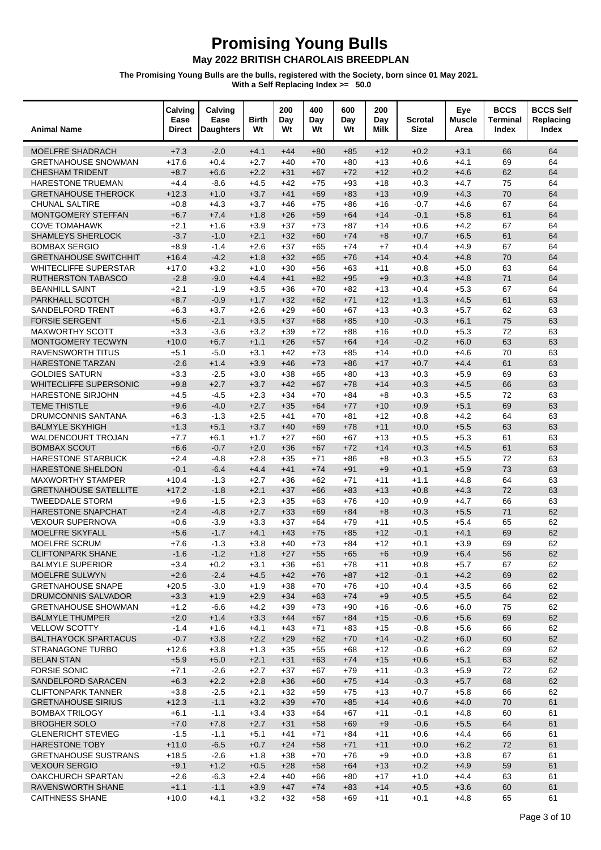### May 2022 BRITISH CHAROLAIS BREEDPLAN

| <b>Animal Name</b>                              | Calving<br>Ease<br><b>Direct</b> | Calving<br>Ease<br><b>Daughters</b> | <b>Birth</b><br>Wt | 200<br>Day<br>Wt | 400<br>Day<br>Wt | 600<br>Day<br>Wt | 200<br>Day<br>Milk | Scrotal<br><b>Size</b> | Eye<br><b>Muscle</b><br>Area | <b>BCCS</b><br><b>Terminal</b><br>Index | <b>BCCS Self</b><br>Replacing<br>Index |
|-------------------------------------------------|----------------------------------|-------------------------------------|--------------------|------------------|------------------|------------------|--------------------|------------------------|------------------------------|-----------------------------------------|----------------------------------------|
| <b>MOELFRE SHADRACH</b>                         | $+7.3$                           | $-2.0$                              | $+4.1$             | $+44$            | $+80$            | $+85$            | $+12$              | $+0.2$                 | $+3.1$                       | 66                                      | 64                                     |
| <b>GRETNAHOUSE SNOWMAN</b>                      | $+17.6$                          | $+0.4$                              | $+2.7$             | $+40$            | $+70$            | $+80$            | $+13$              | $+0.6$                 | $+4.1$                       | 69                                      | 64                                     |
| <b>CHESHAM TRIDENT</b>                          | $+8.7$                           | $+6.6$                              | $+2.2$             | $+31$            | $+67$            | $+72$            | $+12$              | $+0.2$                 | $+4.6$                       | 62                                      | 64                                     |
| HARESTONE TRUEMAN                               | $+4.4$                           | $-8.6$                              | $+4.5$             | $+42$            | $+75$            | $+93$            | $+18$              | $+0.3$                 | $+4.7$                       | 75                                      | 64                                     |
| <b>GRETNAHOUSE THEROCK</b>                      | $+12.3$                          | $+1.0$                              | $+3.7$             | $+41$            | $+69$            | $+83$            | $+13$              | $+0.9$                 | $+4.3$                       | 70                                      | 64                                     |
| <b>CHUNAL SALTIRE</b>                           | $+0.8$                           | $+4.3$                              | $+3.7$             | $+46$            | $+75$            | $+86$            | $+16$              | $-0.7$                 | $+4.6$                       | 67                                      | 64                                     |
| MONTGOMERY STEFFAN                              | $+6.7$                           | $+7.4$                              | $+1.8$             | $+26$            | $+59$            | $+64$            | $+14$              | $-0.1$                 | $+5.8$                       | 61                                      | 64                                     |
| <b>COVE TOMAHAWK</b>                            | $+2.1$                           | $+1.6$                              | $+3.9$             | $+37$            | $+73$            | $+87$            | $+14$              | $+0.6$                 | $+4.2$                       | 67                                      | 64                                     |
| SHAMLEYS SHERLOCK                               | $-3.7$                           | $-1.0$                              | $+2.1$             | $+32$            | $+60$            | $+74$            | $+8$               | $+0.7$                 | $+6.5$                       | 61                                      | 64                                     |
| <b>BOMBAX SERGIO</b>                            | $+8.9$                           | $-1.4$                              | $+2.6$             | $+37$            | $+65$            | $+74$            | $+7$               | $+0.4$                 | $+4.9$                       | 67                                      | 64                                     |
| <b>GRETNAHOUSE SWITCHHIT</b>                    | $+16.4$                          | $-4.2$                              | $+1.8$             | $+32$            | $+65$            | $+76$            | $+14$              | $+0.4$                 | $+4.8$                       | 70                                      | 64                                     |
| <b>WHITECLIFFE SUPERSTAR</b>                    | $+17.0$                          | $+3.2$                              | $+1.0$             | $+30$            | $+56$            | $+63$            | $+11$              | $+0.8$                 | $+5.0$                       | 63                                      | 64                                     |
| <b>RUTHERSTON TABASCO</b>                       | $-2.8$                           | $-9.0$                              | $+4.4$             | $+41$            | $+82$            | $+95$            | $+9$               | $+0.3$                 | $+4.8$                       | 71                                      | 64                                     |
| <b>BEANHILL SAINT</b>                           | $+2.1$                           | $-1.9$                              | $+3.5$             | $+36$            | $+70$            | $+82$            | $+13$              | $+0.4$                 | $+5.3$                       | 67                                      | 64                                     |
| PARKHALL SCOTCH                                 | $+8.7$                           | $-0.9$                              | $+1.7$             | $+32$            | $+62$            | $+71$            | $+12$              | $+1.3$                 | $+4.5$                       | 61                                      | 63                                     |
| <b>SANDELFORD TRENT</b>                         | $+6.3$                           | $+3.7$                              | $+2.6$             | $+29$            | $+60$            | $+67$            | $+13$              | $+0.3$                 | $+5.7$                       | 62                                      | 63                                     |
| <b>FORSIE SERGENT</b>                           | $+5.6$                           | $-2.1$                              | $+3.5$             | $+37$            | $+68$            | $+85$            | $+10$              | $-0.3$                 | $+6.1$                       | 75                                      | 63                                     |
| <b>MAXWORTHY SCOTT</b>                          | $+3.3$                           | $-3.6$                              | $+3.2$             | $+39$            | $+72$            | $+88$            | $+16$              | $+0.0$                 | $+5.3$                       | 72                                      | 63                                     |
| <b>MONTGOMERY TECWYN</b>                        | $+10.0$                          | $+6.7$                              | $+1.1$             | $+26$            | $+57$            | $+64$            | $+14$              | $-0.2$                 | $+6.0$                       | 63                                      | 63                                     |
| <b>RAVENSWORTH TITUS</b>                        | $+5.1$                           | $-5.0$                              | $+3.1$             | $+42$            | $+73$            | +85              | $+14$              | $+0.0$                 | $+4.6$                       | 70                                      | 63                                     |
| HARESTONE TARZAN                                | $-2.6$                           | $+1.4$                              | $+3.9$             | $+46$            | $+73$            | $+86$            | $+17$              | $+0.7$                 | $+4.4$                       | 61                                      | 63                                     |
| <b>GOLDIES SATURN</b>                           | $+3.3$                           | $-2.5$                              | $+3.0$             | $+38$            | $+65$            | $+80$            | $+13$              | $+0.3$                 | $+5.9$                       | 69                                      | 63                                     |
| <b>WHITECLIFFE SUPERSONIC</b>                   | $+9.8$                           | $+2.7$                              | $+3.7$             | $+42$            | $+67$            | $+78$            | $+14$              | $+0.3$                 | $+4.5$                       | 66                                      | 63                                     |
| <b>HARESTONE SIRJOHN</b><br><b>TEME THISTLE</b> | $+4.5$                           | $-4.5$                              | $+2.3$<br>$+2.7$   | $+34$            | $+70$            | $+84$            | $+8$               | $+0.3$<br>$+0.9$       | $+5.5$<br>$+5.1$             | 72<br>69                                | 63<br>63                               |
|                                                 | $+9.6$                           | $-4.0$<br>$-1.3$                    |                    | $+35$<br>$+41$   | $+64$            | $+77$            | $+10$              |                        | $+4.2$                       | 64                                      | 63                                     |
| DRUMCONNIS SANTANA<br><b>BALMYLE SKYHIGH</b>    | $+6.3$<br>$+1.3$                 | $+5.1$                              | $+2.5$<br>$+3.7$   | $+40$            | $+70$<br>$+69$   | +81<br>$+78$     | $+12$<br>$+11$     | $+0.8$<br>$+0.0$       | $+5.5$                       | 63                                      | 63                                     |
| <b>WALDENCOURT TROJAN</b>                       | $+7.7$                           | $+6.1$                              | $+1.7$             | $+27$            | $+60$            | $+67$            | $+13$              | $+0.5$                 | $+5.3$                       | 61                                      | 63                                     |
| <b>BOMBAX SCOUT</b>                             | $+6.6$                           | $-0.7$                              | $+2.0$             | $+36$            | $+67$            | $+72$            | $+14$              | $+0.3$                 | $+4.5$                       | 61                                      | 63                                     |
| HARESTONE STARBUCK                              | $+2.4$                           | $-4.8$                              | $+2.8$             | $+35$            | $+71$            | $+86$            | $+8$               | $+0.3$                 | $+5.5$                       | 72                                      | 63                                     |
| HARESTONE SHELDON                               | $-0.1$                           | $-6.4$                              | $+4.4$             | $+41$            | $+74$            | $+91$            | $+9$               | $+0.1$                 | $+5.9$                       | 73                                      | 63                                     |
| <b>MAXWORTHY STAMPER</b>                        | $+10.4$                          | $-1.3$                              | $+2.7$             | $+36$            | $+62$            | $+71$            | $+11$              | $+1.1$                 | $+4.8$                       | 64                                      | 63                                     |
| <b>GRETNAHOUSE SATELLITE</b>                    | $+17.2$                          | $-1.8$                              | $+2.1$             | $+37$            | $+66$            | $+83$            | $+13$              | $+0.8$                 | $+4.3$                       | 72                                      | 63                                     |
| <b>TWEEDDALE STORM</b>                          | $+9.6$                           | $-1.5$                              | $+2.3$             | $+35$            | $+63$            | $+76$            | $+10$              | $+0.9$                 | $+4.7$                       | 66                                      | 63                                     |
| HARESTONE SNAPCHAT                              | $+2.4$                           | $-4.8$                              | $+2.7$             | $+33$            | $+69$            | $+84$            | $+8$               | $+0.3$                 | $+5.5$                       | 71                                      | 62                                     |
| <b>VEXOUR SUPERNOVA</b>                         | $+0.6$                           | $-3.9$                              | $+3.3$             | $+37$            | $+64$            | $+79$            | $+11$              | $+0.5$                 | $+5.4$                       | 65                                      | 62                                     |
| <b>MOELFRE SKYFALL</b>                          | $+5.6$                           | $-1.7$                              | $+4.1$             | $+43$            | $+75$            | $+85$            | $+12$              | $-0.1$                 | $+4.1$                       | 69                                      | 62                                     |
| MOELFRE SCRUM                                   | $+7.6$                           | $-1.3$                              | $+3.8$             | $+40$            | $+73$            | +84              | $+12$              | $+0.1$                 | $+3.9$                       | 69                                      | 62                                     |
| CLIFTONPARK SHANE                               | $-1.6$                           | $-1.2$                              | $+1.8$             | $+27$            | $+55$            | $+65$            | $+6$               | $+0.9$                 | $+6.4$                       | 56                                      | 62                                     |
| <b>BALMYLE SUPERIOR</b>                         | $+3.4$                           | $+0.2$                              | $+3.1$             | $+36$            | +61              | $+78$            | $+11$              | $+0.8$                 | $+5.7$                       | 67                                      | 62                                     |
| <b>MOELFRE SULWYN</b>                           | $+2.6$                           | $-2.4$                              | $+4.5$             | $+42$            | $+76$            | $+87$            | $+12$              | $-0.1$                 | $+4.2$                       | 69                                      | 62                                     |
| <b>GRETNAHOUSE SNAPE</b>                        | $+20.5$                          | $-3.0$                              | $+1.9$             | $+38$            | $+70$            | +76              | $+10$              | $+0.4$                 | $+3.5$                       | 66                                      | 62                                     |
| <b>DRUMCONNIS SALVADOR</b>                      | $+3.3$                           | $+1.9$                              | $+2.9$             | $+34$            | $+63$            | $+74$            | $+9$               | $+0.5$                 | $+5.5$                       | 64                                      | 62                                     |
| <b>GRETNAHOUSE SHOWMAN</b>                      | $+1.2$                           | $-6.6$                              | $+4.2$             | $+39$            | $+73$            | $+90$            | $+16$              | $-0.6$                 | $+6.0$                       | 75                                      | 62                                     |
| <b>BALMYLE THUMPER</b>                          | $+2.0$                           | $+1.4$                              | $+3.3$             | $+44$            | $+67$            | $+84$            | $+15$              | $-0.6$                 | $+5.6$                       | 69                                      | 62                                     |
| <b>VELLOW SCOTTY</b>                            | $-1.4$                           | $+1.6$                              | $+4.1$             | $+43$            | $+71$            | +83              | $+15$              | $-0.8$                 | $+5.6$                       | 66                                      | 62                                     |
| <b>BALTHAYOCK SPARTACUS</b>                     | $-0.7$                           | $+3.8$                              | $+2.2$             | $+29$            | $+62$            | $+70$            | $+14$              | $-0.2$                 | $+6.0$                       | 60                                      | 62                                     |
| STRANAGONE TURBO                                | $+12.6$                          | $+3.8$                              | $+1.3$             | $+35$            | $+55$            | +68              | $+12$              | $-0.6$                 | $+6.2$                       | 69                                      | 62                                     |
| <b>BELAN STAN</b>                               | $+5.9$                           | $+5.0$                              | $+2.1$             | $+31$            | $+63$            | $+74$            | $+15$              | $+0.6$                 | $+5.1$                       | 63                                      | 62                                     |
| <b>FORSIE SONIC</b>                             | $+7.1$                           | $-2.6$                              | $+2.7$             | $+37$            | +67              | $+79$            | $+11$              | $-0.3$                 | $+5.9$                       | 72                                      | 62                                     |
| SANDELFORD SARACEN                              | $+6.3$                           | $+2.2$                              | $+2.8$             | $+36$            | $+60$            | $+75$            | $+14$              | $-0.3$                 | $+5.7$                       | 68                                      | 62                                     |
| <b>CLIFTONPARK TANNER</b>                       | $+3.8$                           | $-2.5$                              | $+2.1$             | $+32$            | $+59$            | $+75$            | $+13$              | $+0.7$                 | $+5.8$                       | 66                                      | 62                                     |
| <b>GRETNAHOUSE SIRIUS</b>                       | $+12.3$                          | $-1.1$                              | $+3.2$             | $+39$            | $+70$            | $+85$            | $+14$              | $+0.6$                 | $+4.0$                       | 70                                      | 61                                     |
| <b>BOMBAX TRILOGY</b>                           | $+6.1$                           | $-1.1$                              | $+3.4$             | $+33$            | $+64$            | +67              | $+11$              | $-0.1$                 | $+4.8$                       | 60                                      | 61                                     |
| <b>BROGHER SOLO</b>                             | $+7.0$                           | $+7.8$                              | $+2.7$             | $+31$            | $+58$            | $+69$            | $+9$               | $-0.6$                 | $+5.5$                       | 64                                      | 61                                     |
| <b>GLENERICHT STEVIEG</b>                       | $-1.5$                           | $-1.1$                              | $+5.1$             | $+41$            | $+71$            | +84              | $+11$              | $+0.6$                 | $+4.4$                       | 66                                      | 61                                     |
| <b>HARESTONE TOBY</b>                           | $+11.0$                          | $-6.5$                              | $+0.7$             | $+24$            | $+58$            | $+71$            | $+11$              | $+0.0$                 | $+6.2$                       | 72                                      | 61                                     |
| <b>GRETNAHOUSE SUSTRANS</b>                     | $+18.5$                          | $-2.6$                              | $+1.8$             | $+38$            | $+70$            | +76              | $+9$               | $+0.0$                 | $+3.8$                       | 67                                      | 61                                     |
| <b>VEXOUR SERGIO</b>                            | $+9.1$                           | $+1.2$                              | $+0.5$             | $+28$            | $+58$            | $+64$            | $+13$              | $+0.2$                 | $+4.9$                       | 59                                      | 61                                     |
| <b>OAKCHURCH SPARTAN</b>                        | $+2.6$                           | $-6.3$                              | $+2.4$             | $+40$            | $+66$            | $+80$            | $+17$              | $+1.0$                 | $+4.4$                       | 63<br>60                                | 61                                     |
| RAVENSWORTH SHANE<br><b>CAITHNESS SHANE</b>     | $+1.1$                           | $-1.1$<br>$+4.1$                    | $+3.9$             | $+47$            | $+74$<br>$+58$   | $+83$            | $+14$              | $+0.5$<br>$+0.1$       | $+3.6$                       | 65                                      | 61<br>61                               |
|                                                 | $+10.0$                          |                                     | $+3.2$             | $+32$            |                  | +69              | $+11$              |                        | $+4.8$                       |                                         |                                        |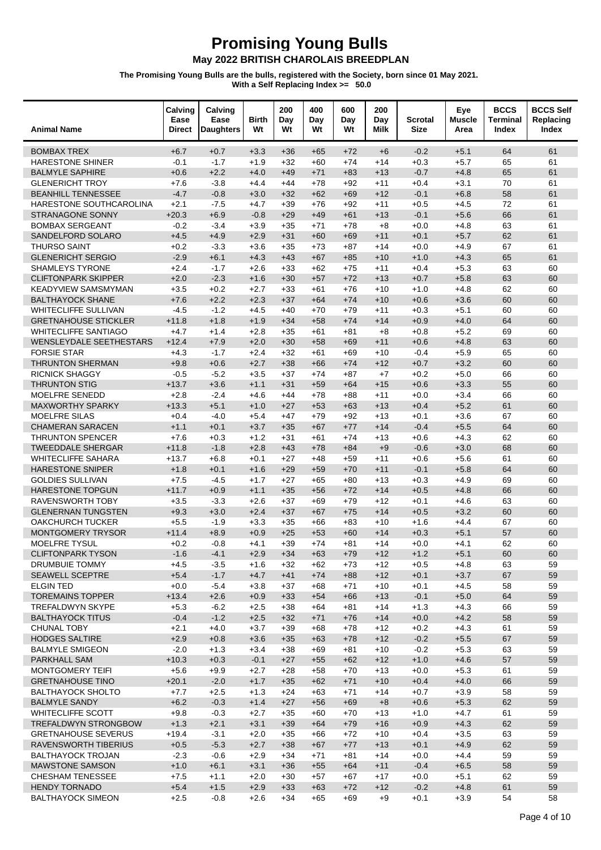### May 2022 BRITISH CHAROLAIS BREEDPLAN

| <b>Animal Name</b>                                    | Calving<br>Ease<br><b>Direct</b> | Calving<br>Ease<br><b>Daughters</b> | Birth<br>Wt      | 200<br>Day<br>Wt | 400<br>Day<br>Wt | 600<br>Day<br>Wt | 200<br>Day<br>Milk | Scrotal<br><b>Size</b> | Eye<br><b>Muscle</b><br>Area | <b>BCCS</b><br>Terminal<br>Index | <b>BCCS Self</b><br>Replacing<br>Index |
|-------------------------------------------------------|----------------------------------|-------------------------------------|------------------|------------------|------------------|------------------|--------------------|------------------------|------------------------------|----------------------------------|----------------------------------------|
| <b>BOMBAX TREX</b>                                    | $+6.7$                           | $+0.7$                              | $+3.3$           | $+36$            | $+65$            | $+72$            | $+6$               | $-0.2$                 | $+5.1$                       | 64                               | 61                                     |
| <b>HARESTONE SHINER</b>                               | $-0.1$                           | $-1.7$                              | $+1.9$           | $+32$            | $+60$            | $+74$            | $+14$              | $+0.3$                 | $+5.7$                       | 65                               | 61                                     |
| <b>BALMYLE SAPHIRE</b>                                | $+0.6$                           | $+2.2$                              | $+4.0$           | $+49$            | $+71$            | $+83$            | $+13$              | $-0.7$                 | $+4.8$                       | 65                               | 61                                     |
| <b>GLENERICHT TROY</b>                                | $+7.6$                           | $-3.8$                              | $+4.4$           | $+44$            | $+78$            | $+92$            | $+11$              | $+0.4$                 | $+3.1$                       | 70                               | 61                                     |
| <b>BEANHILL TENNESSEE</b>                             | $-4.7$                           | $-0.8$                              | $+3.0$           | $+32$            | $+62$            | $+69$            | $+12$              | $-0.1$                 | $+6.8$                       | 58                               | 61                                     |
| HARESTONE SOUTHCAROLINA                               | $+2.1$                           | $-7.5$                              | $+4.7$           | $+39$            | $+76$            | $+92$            | $+11$              | $+0.5$                 | $+4.5$                       | 72                               | 61                                     |
| STRANAGONE SONNY                                      | $+20.3$                          | $+6.9$                              | $-0.8$           | $+29$            | $+49$            | $+61$            | $+13$              | $-0.1$                 | $+5.6$                       | 66                               | 61                                     |
| <b>BOMBAX SERGEANT</b>                                | $-0.2$                           | $-3.4$                              | $+3.9$           | $+35$            | $+71$            | $+78$            | $+8$               | $+0.0$                 | $+4.8$                       | 63                               | 61                                     |
| SANDELFORD SOLARO                                     | $+4.5$                           | $+4.9$                              | $+2.9$           | $+31$            | $+60$            | $+69$            | $+11$              | $+0.1$                 | $+5.7$                       | 62                               | 61                                     |
| <b>THURSO SAINT</b>                                   | $+0.2$                           | $-3.3$                              | $+3.6$           | $+35$            | $+73$            | $+87$            | $+14$              | $+0.0$                 | $+4.9$                       | 67                               | 61                                     |
| <b>GLENERICHT SERGIO</b>                              | $-2.9$                           | $+6.1$                              | $+4.3$           | $+43$            | $+67$            | $+85$            | $+10$              | $+1.0$                 | $+4.3$                       | 65                               | 61                                     |
| <b>SHAMLEYS TYRONE</b><br><b>CLIFTONPARK SKIPPER</b>  | $+2.4$<br>$+2.0$                 | $-1.7$<br>$-2.3$                    | $+2.6$<br>$+1.6$ | $+33$<br>$+30$   | $+62$<br>$+57$   | $+75$<br>$+72$   | $+11$<br>$+13$     | $+0.4$<br>$+0.7$       | $+5.3$<br>$+5.8$             | 63<br>63                         | 60<br>60                               |
| <b>KEADYVIEW SAMSMYMAN</b>                            | $+3.5$                           | $+0.2$                              | $+2.7$           | $+33$            | $+61$            | $+76$            | $+10$              | $+1.0$                 | $+4.8$                       | 62                               | 60                                     |
| <b>BALTHAYOCK SHANE</b>                               | $+7.6$                           | $+2.2$                              | $+2.3$           | $+37$            | $+64$            | $+74$            | $+10$              | $+0.6$                 | $+3.6$                       | 60                               | 60                                     |
| <b>WHITECLIFFE SULLIVAN</b>                           | $-4.5$                           | $-1.2$                              | $+4.5$           | $+40$            | $+70$            | $+79$            | $+11$              | $+0.3$                 | $+5.1$                       | 60                               | 60                                     |
| <b>GRETNAHOUSE STICKLER</b>                           | $+11.8$                          | $+1.8$                              | $+1.9$           | $+34$            | $+58$            | $+74$            | $+14$              | $+0.9$                 | $+4.0$                       | 64                               | 60                                     |
| <b>WHITECLIFFE SANTIAGO</b>                           | $+4.7$                           | $+1.4$                              | $+2.8$           | $+35$            | $+61$            | $+81$            | $+8$               | $+0.8$                 | $+5.2$                       | 69                               | 60                                     |
| <b>WENSLEYDALE SEETHESTARS</b>                        | $+12.4$                          | $+7.9$                              | $+2.0$           | $+30$            | $+58$            | $+69$            | $+11$              | $+0.6$                 | $+4.8$                       | 63                               | 60                                     |
| <b>FORSIE STAR</b>                                    | $+4.3$                           | $-1.7$                              | $+2.4$           | $+32$            | $+61$            | $+69$            | $+10$              | $-0.4$                 | $+5.9$                       | 65                               | 60                                     |
| <b>THRUNTON SHERMAN</b>                               | $+9.8$                           | $+0.6$                              | $+2.7$           | $+38$            | $+66$            | $+74$            | $+12$              | $+0.7$                 | $+3.2$                       | 60                               | 60                                     |
| <b>RICNICK SHAGGY</b>                                 | $-0.5$                           | $-5.2$                              | $+3.5$           | $+37$            | $+74$            | $+87$            | $+7$               | $+0.2$                 | $+5.0$                       | 66                               | 60                                     |
| <b>THRUNTON STIG</b>                                  | $+13.7$                          | $+3.6$                              | $+1.1$           | $+31$            | $+59$            | $+64$            | $+15$              | $+0.6$                 | $+3.3$                       | 55                               | 60                                     |
| <b>MOELFRE SENEDD</b>                                 | $+2.8$                           | $-2.4$                              | $+4.6$           | $+44$            | $+78$            | $+88$            | $+11$              | $+0.0$                 | $+3.4$                       | 66                               | 60                                     |
| <b>MAXWORTHY SPARKY</b>                               | $+13.3$                          | $+5.1$                              | $+1.0$           | $+27$            | $+53$            | $+63$            | $+13$              | $+0.4$                 | $+5.2$                       | 61                               | 60                                     |
| <b>MOELFRE SILAS</b>                                  | $+0.4$                           | $-4.0$                              | $+5.4$           | $+47$            | $+79$            | $+92$            | $+13$              | $+0.1$                 | $+3.6$                       | 67                               | 60                                     |
| <b>CHAMERAN SARACEN</b>                               | $+1.1$                           | $+0.1$                              | $+3.7$           | $+35$            | $+67$            | $+77$            | $+14$              | $-0.4$                 | $+5.5$                       | 64                               | 60                                     |
| <b>THRUNTON SPENCER</b>                               | $+7.6$                           | $+0.3$                              | $+1.2$           | $+31$            | $+61$            | $+74$            | $+13$              | $+0.6$                 | $+4.3$                       | 62                               | 60                                     |
| <b>TWEEDDALE SHERGAR</b><br><b>WHITECLIFFE SAHARA</b> | $+11.8$<br>$+13.7$               | $-1.8$<br>$+6.8$                    | $+2.8$<br>$+0.1$ | $+43$<br>$+27$   | $+78$<br>$+48$   | $+84$<br>$+59$   | $+9$               | $-0.6$                 | $+3.0$<br>$+5.6$             | 68<br>61                         | 60<br>60                               |
| <b>HARESTONE SNIPER</b>                               | $+1.8$                           | $+0.1$                              | $+1.6$           | $+29$            | $+59$            | $+70$            | $+11$<br>$+11$     | $+0.6$<br>$-0.1$       | $+5.8$                       | 64                               | 60                                     |
| <b>GOLDIES SULLIVAN</b>                               | $+7.5$                           | $-4.5$                              | $+1.7$           | $+27$            | $+65$            | $+80$            | $+13$              | $+0.3$                 | $+4.9$                       | 69                               | 60                                     |
| <b>HARESTONE TOPGUN</b>                               | $+11.7$                          | $+0.9$                              | $+1.1$           | $+35$            | $+56$            | $+72$            | $+14$              | $+0.5$                 | $+4.8$                       | 66                               | 60                                     |
| <b>RAVENSWORTH TOBY</b>                               | $+3.5$                           | $-3.3$                              | $+2.6$           | $+37$            | $+69$            | $+79$            | $+12$              | $+0.1$                 | $+4.6$                       | 63                               | 60                                     |
| <b>GLENERNAN TUNGSTEN</b>                             | $+9.3$                           | $+3.0$                              | $+2.4$           | $+37$            | $+67$            | $+75$            | $+14$              | $+0.5$                 | $+3.2$                       | 60                               | 60                                     |
| <b>OAKCHURCH TUCKER</b>                               | $+5.5$                           | $-1.9$                              | $+3.3$           | $+35$            | $+66$            | $+83$            | $+10$              | $+1.6$                 | $+4.4$                       | 67                               | 60                                     |
| <b>MONTGOMERY TRYSOR</b>                              | $+11.4$                          | $+8.9$                              | $+0.9$           | $+25$            | $+53$            | $+60$            | $+14$              | $+0.3$                 | $+5.1$                       | 57                               | 60                                     |
| <b>MOELFRE TYSUL</b>                                  | $+0.2$                           | $-0.8$                              | $+4.1$           | $+39$            | $+74$            | $+81$            | $+14$              | $+0.0$                 | $+4.1$                       | 62                               | 60                                     |
| <b>CLIFTONPARK TYSON</b>                              | $-1.6$                           | $-4.1$                              | $+2.9$           | $+34$            | $+63$            | $+79$            | $+12$              | $+1.2$                 | $+5.1$                       | 60                               | 60                                     |
| DRUMBUIE TOMMY                                        | $+4.5$                           | $-3.5$                              | $+1.6$           | $+32$            | +62              | $+73$            | $+12$              | $+0.5$                 | $+4.8$                       | 63                               | 59                                     |
| <b>SEAWELL SCEPTRE</b>                                | $+5.4$                           | $-1.7$                              | $+4.7$           | $+41$            | $+74$            | $+88$            | $+12$              | $+0.1$                 | $+3.7$                       | 67                               | 59                                     |
| <b>ELGIN TED</b>                                      | $+0.0$                           | $-5.4$                              | $+3.8$           | $+37$            | +68              | $+71$            | $+10$              | $+0.1$                 | $+4.5$                       | 58                               | 59                                     |
| <b>TOREMAINS TOPPER</b>                               | $+13.4$                          | $+2.6$                              | $+0.9$           | $+33$            | $+54$            | $+66$            | $+13$              | $-0.1$                 | $+5.0$                       | 64                               | 59                                     |
| <b>TREFALDWYN SKYPE</b><br><b>BALTHAYOCK TITUS</b>    | $+5.3$                           | $-6.2$                              | $+2.5$           | $+38$            | $+64$            | $+81$            | $+14$              | $+1.3$                 | $+4.3$                       | 66<br>58                         | 59<br>59                               |
| CHUNAL TOBY                                           | $-0.4$<br>$+2.1$                 | $-1.2$<br>$+4.0$                    | $+2.5$<br>$+3.7$ | $+32$<br>$+39$   | $+71$<br>+68     | $+76$<br>+78     | $+14$<br>$+12$     | $+0.0$<br>$+0.2$       | $+4.2$<br>$+4.3$             | 61                               | 59                                     |
| <b>HODGES SALTIRE</b>                                 | $+2.9$                           | $+0.8$                              | $+3.6$           | $+35$            | $+63$            | $+78$            | $+12$              | $-0.2$                 | $+5.5$                       | 67                               | 59                                     |
| <b>BALMYLE SMIGEON</b>                                | $-2.0$                           | $+1.3$                              | $+3.4$           | $+38$            | $+69$            | +81              | $+10$              | $-0.2$                 | $+5.3$                       | 63                               | 59                                     |
| <b>PARKHALL SAM</b>                                   | $+10.3$                          | $+0.3$                              | $-0.1$           | $+27$            | $+55$            | $+62$            | $+12$              | $+1.0$                 | $+4.6$                       | 57                               | 59                                     |
| <b>MONTGOMERY TEIFI</b>                               | $+5.6$                           | $+9.9$                              | $+2.7$           | $+28$            | $+58$            | $+70$            | $+13$              | $+0.0$                 | $+5.3$                       | 61                               | 59                                     |
| <b>GRETNAHOUSE TINO</b>                               | $+20.1$                          | $-2.0$                              | $+1.7$           | $+35$            | $+62$            | $+71$            | $+10$              | $+0.4$                 | $+4.0$                       | 66                               | 59                                     |
| <b>BALTHAYOCK SHOLTO</b>                              | $+7.7$                           | $+2.5$                              | $+1.3$           | $+24$            | $+63$            | $+71$            | $+14$              | $+0.7$                 | $+3.9$                       | 58                               | 59                                     |
| <b>BALMYLE SANDY</b>                                  | $+6.2$                           | $-0.3$                              | $+1.4$           | $+27$            | $+56$            | $+69$            | $+8$               | $+0.6$                 | $+5.3$                       | 62                               | 59                                     |
| <b>WHITECLIFFE SCOTT</b>                              | $+9.8$                           | $-0.3$                              | $+2.7$           | $+35$            | $+60$            | $+70$            | $+13$              | $+1.0$                 | $+4.7$                       | 61                               | 59                                     |
| <b>TREFALDWYN STRONGBOW</b>                           | $+1.3$                           | $+2.1$                              | $+3.1$           | $+39$            | $+64$            | $+79$            | $+16$              | $+0.9$                 | $+4.3$                       | 62                               | 59                                     |
| <b>GRETNAHOUSE SEVERUS</b>                            | $+19.4$                          | $-3.1$                              | $+2.0$           | $+35$            | $+66$            | $+72$            | $+10$              | $+0.4$                 | $+3.5$                       | 63                               | 59                                     |
| RAVENSWORTH TIBERIUS                                  | $+0.5$                           | $-5.3$                              | $+2.7$           | $+38$            | $+67$            | $+77$            | $+13$              | $+0.1$                 | $+4.9$                       | 62                               | 59                                     |
| <b>BALTHAYOCK TROJAN</b>                              | $-2.3$                           | $-0.6$                              | $+2.9$           | $+34$            | $+71$            | +81              | $+14$              | $+0.0$                 | $+4.4$                       | 59                               | 59                                     |
| <b>MAWSTONE SAMSON</b>                                | $+1.0$                           | $+6.1$                              | $+3.1$           | $+36$            | $+55$            | $+64$            | $+11$              | $-0.4$                 | $+6.5$                       | 58                               | 59                                     |
| <b>CHESHAM TENESSEE</b>                               | $+7.5$                           | $+1.1$                              | $+2.0$           | $+30$            | $+57$            | $+67$            | $+17$              | $+0.0$                 | $+5.1$                       | 62                               | 59                                     |
| <b>HENDY TORNADO</b>                                  | $+5.4$                           | $+1.5$                              | $+2.9$           | $+33$            | $+63$            | $+72$            | $+12$              | $-0.2$                 | $+4.8$                       | 61                               | 59                                     |
| <b>BALTHAYOCK SIMEON</b>                              | $+2.5$                           | $-0.8$                              | $+2.6$           | $+34$            | $+65$            | +69              | $+9$               | $+0.1$                 | $+3.9$                       | 54                               | 58                                     |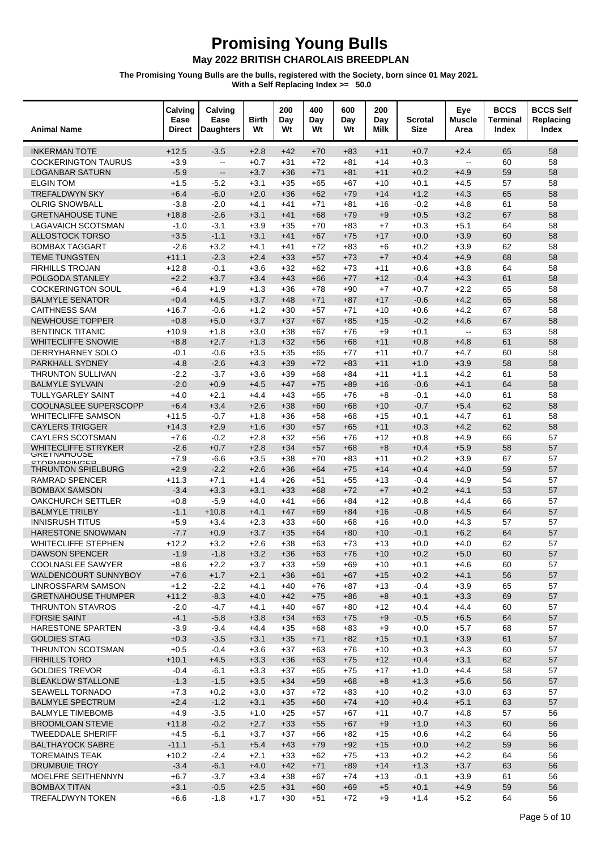| <b>Animal Name</b>                                | Calving<br>Ease<br><b>Direct</b> | Calving<br>Ease<br><b>Daughters</b> | Birth<br>Wt      | 200<br>Day<br>Wt | 400<br>Day<br>Wt | 600<br>Day<br>Wt | 200<br>Day<br>Milk | <b>Scrotal</b><br><b>Size</b> | Eye<br><b>Muscle</b><br>Area | BCCS<br>Terminal<br>Index | <b>BCCS Self</b><br>Replacing<br>Index |
|---------------------------------------------------|----------------------------------|-------------------------------------|------------------|------------------|------------------|------------------|--------------------|-------------------------------|------------------------------|---------------------------|----------------------------------------|
| <b>INKERMAN TOTE</b>                              | $+12.5$                          | $-3.5$                              | $+2.8$           | $+42$            | $+70$            | $+83$            | $+11$              | $+0.7$                        | $+2.4$                       | 65                        | 58                                     |
| <b>COCKERINGTON TAURUS</b>                        | $+3.9$                           | $\sim$                              | $+0.7$           | $+31$            | $+72$            | $+81$            | $+14$              | $+0.3$                        | $\overline{\phantom{a}}$     | 60                        | 58                                     |
| <b>LOGANBAR SATURN</b>                            | $-5.9$                           | $\overline{\phantom{a}}$            | $+3.7$           | $+36$            | $+71$            | $+81$            | $+11$              | $+0.2$                        | $+4.9$                       | 59                        | 58                                     |
| <b>ELGIN TOM</b>                                  | $+1.5$                           | $-5.2$                              | $+3.1$           | $+35$            | $+65$            | +67              | $+10$              | $+0.1$                        | $+4.5$                       | 57                        | 58                                     |
| TREFALDWYN SKY                                    | $+6.4$                           | $-6.0$                              | $+2.0$           | $+36$            | $+62$            | $+79$            | $+14$              | $+1.2$                        | $+4.3$                       | 65                        | 58                                     |
| <b>OLRIG SNOWBALL</b>                             | $-3.8$                           | $-2.0$                              | $+4.1$           | $+41$            | $+71$            | $+81$            | +16                | $-0.2$                        | $+4.8$                       | 61                        | 58                                     |
| <b>GRETNAHOUSE TUNE</b>                           | $+18.8$                          | $-2.6$                              | $+3.1$           | $+41$            | $+68$            | $+79$            | $+9$               | $+0.5$                        | $+3.2$                       | 67                        | 58                                     |
| LAGAVAICH SCOTSMAN                                | $-1.0$                           | $-3.1$                              | $+3.9$           | $+35$            | $+70$            | $+83$            | $+7$               | $+0.3$                        | $+5.1$                       | 64                        | 58                                     |
| <b>ALLOSTOCK TORSO</b>                            | $+3.5$                           | $-1.1$                              | $+3.1$           | $+41$            | +67              | $+75$            | $+17$              | $+0.0$                        | $+3.9$                       | 60                        | 58                                     |
| <b>BOMBAX TAGGART</b>                             | $-2.6$                           | $+3.2$                              | $+4.1$           | $+41$            | $+72$            | $+83$            | $+6$               | $+0.2$                        | $+3.9$                       | 62                        | 58                                     |
| <b>TEME TUNGSTEN</b><br><b>FIRHILLS TROJAN</b>    | $+11.1$<br>$+12.8$               | $-2.3$<br>$-0.1$                    | $+2.4$<br>$+3.6$ | $+33$<br>$+32$   | $+57$<br>$+62$   | $+73$<br>$+73$   | $+7$<br>$+11$      | $+0.4$<br>$+0.6$              | $+4.9$<br>$+3.8$             | 68<br>64                  | 58<br>58                               |
| POLGODA STANLEY                                   | $+2.2$                           | $+3.7$                              | $+3.4$           | $+43$            | +66              | $+77$            | $+12$              | $-0.4$                        | $+4.3$                       | 61                        | 58                                     |
| <b>COCKERINGTON SOUL</b>                          | $+6.4$                           | $+1.9$                              | $+1.3$           | $+36$            | $+78$            | $+90$            | $+7$               | $+0.7$                        | $+2.2$                       | 65                        | 58                                     |
| <b>BALMYLE SENATOR</b>                            | $+0.4$                           | $+4.5$                              | $+3.7$           | $+48$            | $+71$            | $+87$            | $+17$              | $-0.6$                        | $+4.2$                       | 65                        | 58                                     |
| <b>CAITHNESS SAM</b>                              | $+16.7$                          | $-0.6$                              | $+1.2$           | $+30$            | $+57$            | $+71$            | $+10$              | $+0.6$                        | $+4.2$                       | 67                        | 58                                     |
| <b>NEWHOUSE TOPPER</b>                            | $+0.8$                           | $+5.0$                              | $+3.7$           | $+37$            | +67              | $+85$            | $+15$              | $-0.2$                        | $+4.6$                       | 67                        | 58                                     |
| <b>BENTINCK TITANIC</b>                           | $+10.9$                          | $+1.8$                              | $+3.0$           | $+38$            | $+67$            | $+76$            | $+9$               | $+0.1$                        | $\overline{\phantom{a}}$     | 63                        | 58                                     |
| <b>WHITECLIFFE SNOWIE</b>                         | $+8.8$                           | $+2.7$                              | $+1.3$           | $+32$            | $+56$            | $+68$            | $+11$              | $+0.8$                        | $+4.8$                       | 61                        | 58                                     |
| DERRYHARNEY SOLO                                  | $-0.1$                           | $-0.6$                              | $+3.5$           | $+35$            | $+65$            | $+77$            | +11                | $+0.7$                        | $+4.7$                       | 60                        | 58                                     |
| PARKHALL SYDNEY                                   | $-4.8$                           | $-2.6$                              | $+4.3$           | $+39$            | $+72$            | $+83$            | $+11$              | $+1.0$                        | $+3.9$                       | 58                        | 58                                     |
| <b>THRUNTON SULLIVAN</b>                          | $-2.2$                           | $-3.7$                              | $+3.6$           | $+39$            | $+68$            | $+84$            | $+11$              | $+1.1$                        | $+4.2$                       | 61                        | 58                                     |
| <b>BALMYLE SYLVAIN</b>                            | $-2.0$                           | $+0.9$                              | $+4.5$           | $+47$            | $+75$            | $+89$            | $+16$              | $-0.6$                        | $+4.1$                       | 64                        | 58                                     |
| <b>TULLYGARLEY SAINT</b>                          | $+4.0$                           | $+2.1$                              | $+4.4$           | $+43$            | $+65$            | $+76$            | $+8$               | $-0.1$                        | $+4.0$                       | 61                        | 58                                     |
| COOLNASLEE SUPERSCOPP                             | $+6.4$                           | $+3.4$                              | $+2.6$           | $+38$            | +60              | $+68$            | $+10$              | $-0.7$                        | $+5.4$                       | 62                        | 58                                     |
| <b>WHITECLIFFE SAMSON</b>                         | $+11.5$                          | $-0.7$                              | $+1.8$           | $+36$            | $+58$            | $+68$            | $+15$              | $+0.1$                        | $+4.7$                       | 61                        | 58                                     |
| <b>CAYLERS TRIGGER</b>                            | $+14.3$                          | $+2.9$                              | $+1.6$           | $+30$            | $+57$            | $+65$            | $+11$              | $+0.3$                        | $+4.2$                       | 62                        | 58                                     |
| <b>CAYLERS SCOTSMAN</b>                           | $+7.6$                           | $-0.2$                              | $+2.8$           | $+32$            | +56              | $+76$            | $+12$              | $+0.8$                        | $+4.9$                       | 66                        | 57                                     |
| WHITECLIFFE STRYKER<br><b>GKETNAHUUSE</b>         | $-2.6$                           | $+0.7$                              | $+2.8$           | $+34$            | +57              | $+68$            | $+8$               | $+0.4$                        | $+5.9$                       | 58                        | 57                                     |
| <b>CTODMRDINGED</b>                               | $+7.9$                           | $-6.6$                              | $+3.5$           | $+38$            | $+70$            | $+83$            | $+11$              | $+0.2$                        | $+3.9$                       | 67                        | 57                                     |
| <b>THRUNTON SPIELBURG</b>                         | $+2.9$                           | $-2.2$                              | $+2.6$           | $+36$            | $+64$            | $+75$            | $+14$              | $+0.4$                        | $+4.0$                       | 59                        | 57                                     |
| <b>RAMRAD SPENCER</b>                             | $+11.3$                          | $+7.1$                              | $+1.4$           | $+26$            | $+51$            | $+55$            | $+13$              | $-0.4$                        | $+4.9$                       | 54                        | 57                                     |
| <b>BOMBAX SAMSON</b><br><b>OAKCHURCH SETTLER</b>  | $-3.4$<br>$+0.8$                 | $+3.3$<br>$-5.9$                    | $+3.1$<br>$+4.0$ | $+33$<br>$+41$   | +68<br>$+66$     | $+72$<br>$+84$   | $+7$<br>$+12$      | $+0.2$<br>$+0.8$              | $+4.1$<br>$+4.4$             | 53<br>66                  | 57<br>57                               |
| <b>BALMYLE TRILBY</b>                             | $-1.1$                           | $+10.8$                             | $+4.1$           | $+47$            | $+69$            | $+84$            | $+16$              | $-0.8$                        | $+4.5$                       | 64                        | 57                                     |
| <b>INNISRUSH TITUS</b>                            | $+5.9$                           | +3.4                                | $+2.3$           | $+33$            | $+60$            | +68              | +16                | $+0.0$                        | $+4.3$                       | 57                        | 57                                     |
| <b>HARESTONE SNOWMAN</b>                          | $-7.7$                           | $+0.9$                              | $+3.7$           | $+35$            | $+64$            | $+80$            | $+10$              | $-0.1$                        | $+6.2$                       | 64                        | 57                                     |
| <b>WHITECLIFFE STEPHEN</b>                        | +12.2                            | $+3.2$                              | $+2.6$           | $+38$            | $+63$            | $+73$            | $+13$              | $+0.0$                        | $+4.0$                       | 62                        | 57                                     |
| <b>DAWSON SPENCER</b>                             | $-1.9$                           | $-1.8$                              | $+3.2$           | $+36$            | $+63$            | $+76$            | $+10$              | $+0.2$                        | $+5.0$                       | 60                        | 57                                     |
| <b>COOLNASLEE SAWYER</b>                          | $+8.6$                           | $+2.2$                              | $+3.7$           | $+33$            | $+59$            | +69              | +10                | $+0.1$                        | $+4.6$                       | 60                        | 57                                     |
| <b>WALDENCOURT SUNNYBOY</b>                       | $+7.6$                           | $+1.7$                              | $+2.1$           | $+36$            | $+61$            | $+67$            | $+15$              | $+0.2$                        | $+4.1$                       | 56                        | 57                                     |
| LINROSSFARM SAMSON                                | $+1.2$                           | $-2.2$                              | $+4.1$           | $+40$            | $+76$            | $+87$            | $+13$              | $-0.4$                        | $+3.9$                       | 65                        | 57                                     |
| <b>GRETNAHOUSE THUMPER</b>                        | $+11.2$                          | $-8.3$                              | $+4.0$           | $+42$            | $+75$            | $+86$            | $+8$               | $+0.1$                        | $+3.3$                       | 69                        | 57                                     |
| <b>THRUNTON STAVROS</b>                           | $-2.0$                           | $-4.7$                              | $+4.1$           | $+40$            | $+67$            | $+80$            | $+12$              | $+0.4$                        | $+4.4$                       | 60                        | 57                                     |
| <b>FORSIE SAINT</b>                               | $-4.1$                           | $-5.8$                              | $+3.8$           | $+34$            | $+63$            | $+75$            | $+9$               | $-0.5$                        | $+6.5$                       | 64                        | 57                                     |
| HARESTONE SPARTEN                                 | $-3.9$                           | $-9.4$                              | $+4.4$           | $+35$            | $+68$            | $+83$            | $+9$               | $+0.0$                        | $+5.7$                       | 68                        | 57                                     |
| <b>GOLDIES STAG</b>                               | $+0.3$                           | $-3.5$                              | $+3.1$           | $+35$            | $+71$            | $+82$            | $+15$              | $+0.1$                        | $+3.9$                       | 61                        | 57                                     |
| <b>THRUNTON SCOTSMAN</b>                          | $+0.5$                           | $-0.4$                              | $+3.6$           | $+37$            | $+63$            | $+76$            | $+10$              | $+0.3$                        | $+4.3$                       | 60                        | 57                                     |
| <b>FIRHILLS TORO</b>                              | $+10.1$                          | $+4.5$                              | $+3.3$           | $+36$            | $+63$            | $+75$            | $+12$              | $+0.4$                        | $+3.1$                       | 62                        | 57                                     |
| <b>GOLDIES TREVOR</b><br><b>BLEAKLOW STALLONE</b> | $-0.4$                           | $-6.1$                              | $+3.3$           | $+37$            | $+65$            | $+75$            | $+17$              | $+1.0$                        | $+4.4$                       | 58<br>56                  | 57<br>57                               |
| SEAWELL TORNADO                                   | $-1.3$<br>$+7.3$                 | $-1.5$<br>$+0.2$                    | $+3.5$<br>$+3.0$ | $+34$<br>$+37$   | $+59$<br>$+72$   | $+68$<br>$+83$   | $+8$<br>$+10$      | $+1.3$<br>$+0.2$              | $+5.6$<br>$+3.0$             | 63                        | 57                                     |
| <b>BALMYLE SPECTRUM</b>                           | $+2.4$                           | $-1.2$                              | $+3.1$           | $+35$            | $+60$            | $+74$            | $+10$              | $+0.4$                        | $+5.1$                       | 63                        | 57                                     |
| <b>BALMYLE TIMEBOMB</b>                           | $+4.9$                           | $-3.5$                              | $+1.0$           | $+25$            | $+57$            | $+67$            | $+11$              | $+0.7$                        | $+4.8$                       | 57                        | 56                                     |
| <b>BROOMLOAN STEVIE</b>                           | $+11.8$                          | $-0.2$                              | $+2.7$           | $+33$            | $+55$            | $+67$            | $+9$               | $+1.0$                        | $+4.3$                       | 60                        | 56                                     |
| <b>TWEEDDALE SHERIFF</b>                          | $+4.5$                           | $-6.1$                              | $+3.7$           | $+37$            | $+66$            | $+82$            | $+15$              | $+0.6$                        | $+4.2$                       | 64                        | 56                                     |
| <b>BALTHAYOCK SABRE</b>                           | $-11.1$                          | $-5.1$                              | $+5.4$           | $+43$            | $+79$            | $+92$            | $+15$              | $+0.0$                        | $+4.2$                       | 59                        | 56                                     |
| <b>TOREMAINS TEAK</b>                             | $+10.2$                          | $-2.4$                              | $+2.1$           | $+33$            | $+62$            | $+75$            | $+13$              | $+0.2$                        | $+4.2$                       | 64                        | 56                                     |
| <b>DRUMBUIE TROY</b>                              | $-3.4$                           | $-6.1$                              | $+4.0$           | $+42$            | $+71$            | $+89$            | $+14$              | $+1.3$                        | $+3.7$                       | 63                        | 56                                     |
| MOELFRE SEITHENNYN                                | $+6.7$                           | $-3.7$                              | $+3.4$           | $+38$            | $+67$            | $+74$            | $+13$              | $-0.1$                        | $+3.9$                       | 61                        | 56                                     |
| <b>BOMBAX TITAN</b>                               | $+3.1$                           | $-0.5$                              | $+2.5$           | $+31$            | $+60$            | $+69$            | $+5$               | $+0.1$                        | $+4.9$                       | 59                        | 56                                     |
| <b>TREFALDWYN TOKEN</b>                           | $+6.6$                           | $-1.8$                              | $+1.7$           | $+30$            | $+51$            | $+72$            | $+9$               | $+1.4$                        | $+5.2$                       | 64                        | 56                                     |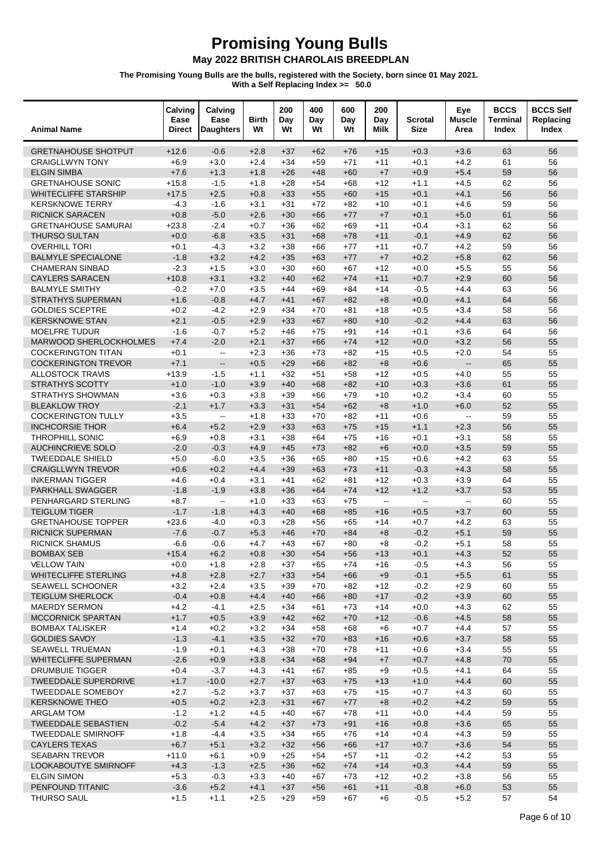### May 2022 BRITISH CHAROLAIS BREEDPLAN

| <b>Animal Name</b>                                  | Calving<br>Ease<br><b>Direct</b> | Calving<br>Ease<br><b>Daughters</b> | <b>Birth</b><br>Wt | 200<br>Day<br>Wt | 400<br>Day<br>Wt | 600<br>Day<br>Wt | 200<br>Day<br>Milk                            | Scrotal<br><b>Size</b> | Eye<br><b>Muscle</b><br>Area | <b>BCCS</b><br>Terminal<br>Index | <b>BCCS Self</b><br>Replacing<br>Index |
|-----------------------------------------------------|----------------------------------|-------------------------------------|--------------------|------------------|------------------|------------------|-----------------------------------------------|------------------------|------------------------------|----------------------------------|----------------------------------------|
| <b>GRETNAHOUSE SHOTPUT</b>                          | $+12.6$                          | $-0.6$                              | $+2.8$             | $+37$            | $+62$            | $+76$            | $+15$                                         | $+0.3$                 | $+3.6$                       | 63                               | 56                                     |
| <b>CRAIGLLWYN TONY</b>                              | $+6.9$                           | $+3.0$                              | $+2.4$             | $+34$            | $+59$            | $+71$            | $+11$                                         | $+0.1$                 | $+4.2$                       | 61                               | 56                                     |
| <b>ELGIN SIMBA</b>                                  | $+7.6$                           | $+1.3$                              | $+1.8$             | $+26$            | $+48$            | $+60$            | $+7$                                          | $+0.9$                 | $+5.4$                       | 59                               | 56                                     |
| <b>GRETNAHOUSE SONIC</b>                            | $+15.8$                          | $-1.5$                              | $+1.8$             | $+28$            | $+54$            | $+68$            | $+12$                                         | $+1.1$                 | $+4.5$                       | 62                               | 56                                     |
| <b>WHITECLIFFE STARSHIP</b>                         | $+17.5$                          | $+2.5$                              | $+0.8$             | $+33$            | $+55$            | $+60$            | $+15$                                         | $+0.1$                 | $+4.1$                       | 56                               | 56                                     |
| <b>KERSKNOWE TERRY</b>                              | $-4.3$                           | $-1.6$                              | $+3.1$             | $+31$            | $+72$            | $+82$            | $+10$                                         | $+0.1$                 | $+4.6$                       | 59                               | 56                                     |
| <b>RICNICK SARACEN</b>                              | $+0.8$                           | $-5.0$                              | $+2.6$             | $+30$            | $+66$            | $+77$            | $+7$                                          | $+0.1$                 | $+5.0$                       | 61                               | 56                                     |
| <b>GRETNAHOUSE SAMURAI</b>                          | $+23.8$                          | $-2.4$                              | $+0.7$             | $+36$            | $+62$            | $+69$            | $+11$                                         | $+0.4$                 | $+3.1$                       | 62                               | 56                                     |
| <b>THURSO SULTAN</b>                                | $+0.0$                           | $-6.8$                              | $+3.5$             | $+31$            | $+68$            | $+78$            | $+11$                                         | $-0.1$                 | $+4.9$                       | 62                               | 56                                     |
| <b>OVERHILL TORI</b>                                | $+0.1$                           | $-4.3$                              | $+3.2$             | $+38$            | $+66$            | $+77$            | $+11$                                         | $+0.7$                 | $+4.2$                       | 59                               | 56                                     |
| <b>BALMYLE SPECIALONE</b>                           | $-1.8$                           | $+3.2$                              | $+4.2$             | $+35$            | $+63$            | $+77$            | $+7$                                          | $+0.2$                 | $+5.8$                       | 62                               | 56                                     |
| <b>CHAMERAN SINBAD</b>                              | $-2.3$                           | $+1.5$                              | $+3.0$             | $+30$            | $+60$            | $+67$            | $+12$                                         | $+0.0$                 | $+5.5$                       | 55                               | 56                                     |
| <b>CAYLERS SARACEN</b>                              | $+10.8$                          | $+3.1$                              | $+3.2$             | $+40$            | $+62$            | $+74$            | $+11$                                         | $+0.7$                 | $+2.9$                       | 60                               | 56                                     |
| <b>BALMYLE SMITHY</b>                               | $-0.2$                           | $+7.0$                              | $+3.5$             | $+44$            | $+69$            | $+84$            | $+14$                                         | $-0.5$                 | $+4.4$                       | 63                               | 56                                     |
| <b>STRATHYS SUPERMAN</b>                            | $+1.6$                           | $-0.8$                              | $+4.7$             | $+41$            | $+67$            | $+82$            | $+8$                                          | $+0.0$                 | $+4.1$                       | 64                               | 56                                     |
| <b>GOLDIES SCEPTRE</b>                              | $+0.2$                           | $-4.2$                              | $+2.9$             | $+34$            | $+70$            | $+81$            | $+18$                                         | $+0.5$                 | $+3.4$                       | 58                               | 56                                     |
| <b>KERSKNOWE STAN</b>                               | $+2.1$                           | $-0.5$                              | $+2.9$             | $+33$            | $+67$            | $+80$            | $+10$                                         | $-0.2$                 | $+4.4$                       | 63                               | 56                                     |
| <b>MOELFRE TUDUR</b>                                | $-1.6$                           | $-0.7$                              | $+5.2$             | $+46$            | $+75$            | $+91$            | $+14$                                         | $+0.1$                 | $+3.6$                       | 64                               | 56                                     |
| <b>MARWOOD SHERLOCKHOLMES</b>                       | $+7.4$                           | $-2.0$                              | $+2.1$             | $+37$            | $+66$            | $+74$            | $+12$                                         | $+0.0$                 | $+3.2$                       | 56                               | 55                                     |
| <b>COCKERINGTON TITAN</b>                           | $+0.1$                           | $\overline{\phantom{a}}$            | $+2.3$             | $+36$            | $+73$            | $+82$            | $+15$                                         | $+0.5$                 | $+2.0$                       | 54                               | 55                                     |
| <b>COCKERINGTON TREVOR</b>                          | $+7.1$                           | $\overline{\phantom{a}}$            | $+0.5$             | $+29$            | $+66$            | $+82$            | $+8$                                          | $+0.6$                 | $\mathbb{Z}^2$               | 65                               | 55                                     |
| <b>ALLOSTOCK TRAVIS</b>                             | $+13.9$                          | $-1.5$                              | $+1.1$             | $+32$            | $+51$            | $+58$            | $+12$                                         | $+0.5$                 | $+4.0$                       | 55                               | 55                                     |
| <b>STRATHYS SCOTTY</b>                              | $+1.0$                           | $-1.0$                              | $+3.9$             | $+40$            | $+68$            | $+82$            | $+10$                                         | $+0.3$                 | $+3.6$                       | 61                               | 55                                     |
| STRATHYS SHOWMAN                                    | $+3.6$                           | $+0.3$                              | $+3.8$             | $+39$            | $+66$            | $+79$            | $+10$                                         | $+0.2$                 | $+3.4$                       | 60                               | 55                                     |
| <b>BLEAKLOW TROY</b>                                | $-2.1$                           | $+1.7$                              | $+3.3$             | $+31$            | $+54$            | $+62$            | $+8$                                          | $+1.0$<br>$+0.6$       | $+6.0$<br>$\sim$             | 52                               | 55<br>55                               |
| <b>COCKERINGTON TULLY</b><br><b>INCHCORSIE THOR</b> | $+3.5$                           | $\overline{\phantom{a}}$            | $+1.8$             | $+33$<br>$+33$   | $+70$            | $+82$            | $+11$                                         | $+1.1$                 | $+2.3$                       | 59<br>56                         | 55                                     |
| <b>THROPHILL SONIC</b>                              | $+6.4$<br>$+6.9$                 | $+5.2$<br>$+0.8$                    | $+2.9$<br>$+3.1$   | $+38$            | $+63$<br>$+64$   | $+75$<br>$+75$   | $+15$<br>$+16$                                | $+0.1$                 | $+3.1$                       | 58                               | 55                                     |
| <b>AUCHINCRIEVE SOLO</b>                            | $-2.0$                           | $-0.3$                              | $+4.9$             | $+45$            | $+73$            | $+82$            | $+6$                                          | $+0.0$                 | $+3.5$                       | 59                               | 55                                     |
| <b>TWEEDDALE SHIELD</b>                             | $+5.0$                           | $-6.0$                              | $+3.5$             | $+36$            | $+65$            | $+80$            | $+15$                                         | $+0.6$                 | $+4.2$                       | 63                               | 55                                     |
| <b>CRAIGLLWYN TREVOR</b>                            | $+0.6$                           | $+0.2$                              | $+4.4$             | $+39$            | $+63$            | $+73$            | $+11$                                         | $-0.3$                 | $+4.3$                       | 58                               | 55                                     |
| <b>INKERMAN TIGGER</b>                              | $+4.6$                           | $+0.4$                              | $+3.1$             | $+41$            | $+62$            | $+81$            | $+12$                                         | $+0.3$                 | $+3.9$                       | 64                               | 55                                     |
| <b>PARKHALL SWAGGER</b>                             | $-1.8$                           | $-1.9$                              | $+3.8$             | $+36$            | $+64$            | $+74$            | $+12$                                         | $+1.2$                 | $+3.7$                       | 53                               | 55                                     |
| PENHARGARD STERLING                                 | $+8.7$                           | $\overline{\phantom{a}}$            | $+1.0$             | $+33$            | $+63$            | $+75$            | $\mathord{\hspace{1pt}\text{--}\hspace{1pt}}$ | $\sim$                 | $\sim$                       | 60                               | 55                                     |
| <b>TEIGLUM TIGER</b>                                | $-1.7$                           | $-1.8$                              | $+4.3$             | $+40$            | $+68$            | $+85$            | $+16$                                         | $+0.5$                 | $+3.7$                       | 60                               | 55                                     |
| <b>GRETNAHOUSE TOPPER</b>                           | $+23.6$                          | $-4.0$                              | $+0.3$             | $+28$            | $+56$            | $+65$            | $+14$                                         | $+0.7$                 | $+4.2$                       | 63                               | 55                                     |
| <b>RICNICK SUPERMAN</b>                             | $-7.6$                           | $-0.7$                              | $+5.3$             | $+46$            | $+70$            | $+84$            | $+8$                                          | $-0.2$                 | $+5.1$                       | 59                               | 55                                     |
| <b>RICNICK SHAMUS</b>                               | $-6.6$                           | $-0.6$                              | $+4.7$             | $+43$            | $+67$            | $+80$            | $+8$                                          | $-0.2$                 | $+5.1$                       | 58                               | 55                                     |
| <b>BOMBAX SEB</b>                                   | $+15.4$                          | $+6.2$                              | $+0.8$             | $+30$            | $+54$            | $+56$            | $+13$                                         | $+0.1$                 | $+4.3$                       | 52                               | 55                                     |
| <b>VELLOW TAIN</b>                                  | $+0.0$                           | $+1.8$                              | $+2.8$             | $+37$            | $+65$            | $+74$            | $+16$                                         | -0.5                   | $+4.3$                       | 56                               | 55                                     |
| <b>WHITECLIFFE STERLING</b>                         | $+4.8$                           | $+2.8$                              | $+2.7$             | $+33$            | $+54$            | $+66$            | $+9$                                          | $-0.1$                 | $+5.5$                       | 61                               | 55                                     |
| <b>SEAWELL SCHOONER</b>                             | $+3.2$                           | $+2.4$                              | $+3.5$             | $+39$            | $+70$            | +82              | $+12$                                         | $-0.2$                 | $+2.9$                       | 60                               | 55                                     |
| <b>TEIGLUM SHERLOCK</b>                             | $-0.4$                           | $+0.8$                              | $+4.4$             | $+40$            | $+66$            | $+80$            | $+17$                                         | $-0.2$                 | $+3.9$                       | 60                               | 55                                     |
| <b>MAERDY SERMON</b>                                | $+4.2$                           | $-4.1$                              | $+2.5$             | $+34$            | $+61$            | $+73$            | $+14$                                         | $+0.0$                 | $+4.3$                       | 62                               | 55                                     |
| <b>MCCORNICK SPARTAN</b>                            | $+1.7$                           | $+0.5$                              | $+3.9$             | $+42$            | $+62$            | $+70$            | $+12$                                         | $-0.6$                 | $+4.5$                       | 58                               | 55                                     |
| <b>BOMBAX TALISKER</b>                              | $+1.4$                           | $+0.2$                              | $+3.2$             | $+34$            | $+58$            | +68              | $+6$                                          | $+0.7$                 | $+4.4$                       | 57                               | 55                                     |
| <b>GOLDIES SAVOY</b>                                | $-1.3$                           | $-4.1$                              | $+3.5$             | $+32$            | $+70$            | $+83$            | $+16$                                         | $+0.6$                 | $+3.7$                       | 58                               | 55                                     |
| <b>SEAWELL TRUEMAN</b>                              | $-1.9$                           | $+0.1$                              | $+4.3$             | $+38$            | $+70$            | $+78$            | +11                                           | $+0.6$                 | $+3.4$                       | 55                               | 55                                     |
| <b>WHITECLIFFE SUPERMAN</b>                         | $-2.6$                           | $+0.9$                              | $+3.8$             | $+34$            | $+68$            | $+94$            | $+7$                                          | $+0.7$                 | $+4.8$                       | 70                               | 55                                     |
| <b>DRUMBUIE TIGGER</b>                              | $+0.4$                           | $-3.7$                              | $+4.3$             | $+41$            | $+67$            | $+85$            | $+9$                                          | $+0.5$                 | $+4.1$                       | 64                               | 55                                     |
| <b>TWEEDDALE SUPERDRIVE</b>                         | $+1.7$                           | $-10.0$                             | $+2.7$             | $+37$            | $+63$            | $+75$            | $+13$                                         | $+1.0$                 | $+4.4$                       | 60                               | 55                                     |
| <b>TWEEDDALE SOMEBOY</b>                            | $+2.7$                           | $-5.2$                              | $+3.7$             | $+37$            | $+63$            | $+75$            | $+15$                                         | $+0.7$                 | $+4.3$                       | 60                               | 55                                     |
| <b>KERSKNOWE THEO</b>                               | $+0.5$                           | $+0.2$                              | $+2.3$             | $+31$            | $+67$            | $+77$            | $+8$                                          | $+0.2$                 | $+4.2$                       | 59                               | 55                                     |
| <b>ARGLAM TOM</b>                                   | $-1.2$                           | $+1.2$                              | $+4.5$             | $+40$            | +67              | +78              | $+11$                                         | $+0.0$                 | $+4.4$                       | 59                               | 55                                     |
| <b>TWEEDDALE SEBASTIEN</b>                          | $-0.2$                           | $-5.4$                              | $+4.2$             | $+37$            | $+73$            | $+91$            | $+16$                                         | $+0.8$                 | $+3.6$                       | 65                               | 55                                     |
| <b>TWEEDDALE SMIRNOFF</b>                           | $+1.8$                           | $-4.4$                              | $+3.5$             | $+34$            | $+65$            | $+76$            | $+14$                                         | $+0.4$                 | $+4.3$                       | 59                               | 55                                     |
| <b>CAYLERS TEXAS</b>                                | $+6.7$                           | $+5.1$                              | $+3.2$             | $+32$            | $+56$            | $+66$            | $+17$                                         | $+0.7$                 | $+3.6$                       | 54                               | 55                                     |
| <b>SEABARN TREVOR</b>                               | $+11.0$                          | $+6.1$                              | $+0.9$             | $+25$            | $+54$            | $+57$            | $+11$                                         | $-0.2$                 | $+4.2$                       | 53                               | 55                                     |
| <b>LOOKABOUTYE SMIRNOFF</b>                         | $+4.3$                           | $-1.3$                              | $+2.5$             | $+36$            | $+62$            | $+74$            | $+14$                                         | $+0.3$                 | $+4.4$                       | 59                               | 55                                     |
| <b>ELGIN SIMON</b><br>PENFOUND TITANIC              | $+5.3$                           | $-0.3$                              | $+3.3$<br>$+4.1$   | $+40$            | +67              | $+73$            | $+12$                                         | $+0.2$<br>$-0.8$       | $+3.8$                       | 56<br>53                         | 55<br>55                               |
|                                                     | $-3.6$                           | $+5.2$                              |                    | $+37$            | $+56$            | $+61$            | $+11$                                         |                        | $+6.0$                       |                                  |                                        |
| <b>THURSO SAUL</b>                                  | $+1.5$                           | $+1.1$                              | $+2.5$             | $+29$            | $+59$            | +67              | $+6$                                          | -0.5                   | $+5.2$                       | 57                               | 54                                     |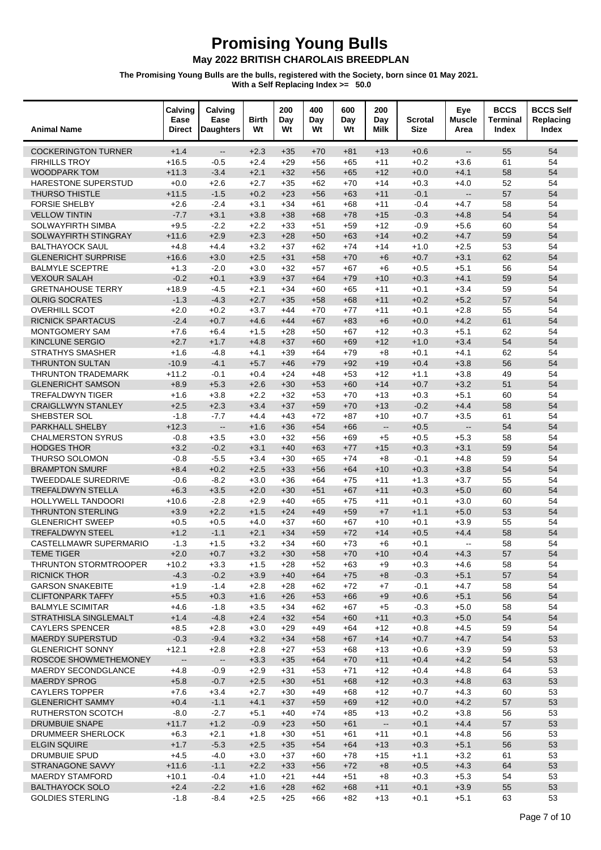| <b>Animal Name</b>                                    | Calving<br>Ease<br>Direct | Calving<br>Ease<br><b>Daughters</b> | <b>Birth</b><br>Wt | 200<br>Day<br>Wt | 400<br>Day<br>Wt | 600<br>Day<br>Wt | 200<br>Day<br>Milk       | <b>Scrotal</b><br><b>Size</b> | Eye<br><b>Muscle</b><br>Area | <b>BCCS</b><br>Terminal<br>Index | <b>BCCS Self</b><br>Replacing<br>Index |
|-------------------------------------------------------|---------------------------|-------------------------------------|--------------------|------------------|------------------|------------------|--------------------------|-------------------------------|------------------------------|----------------------------------|----------------------------------------|
| <b>COCKERINGTON TURNER</b>                            | $+1.4$                    | $\overline{\phantom{a}}$            | $+2.3$             | $+35$            | $+70$            | +81              | $+13$                    | $+0.6$                        | $\overline{\phantom{a}}$     | 55                               | 54                                     |
| <b>FIRHILLS TROY</b>                                  | $+16.5$                   | $-0.5$                              | $+2.4$             | $+29$            | $+56$            | $+65$            | $+11$                    | $+0.2$                        | $+3.6$                       | 61                               | 54                                     |
| <b>WOODPARK TOM</b>                                   | $+11.3$                   | $-3.4$                              | $+2.1$             | $+32$            | $+56$            | $+65$            | $+12$                    | $+0.0$                        | $+4.1$                       | 58                               | 54                                     |
| <b>HARESTONE SUPERSTUD</b>                            | $+0.0$                    | $+2.6$                              | $+2.7$             | $+35$            | $+62$            | $+70$            | $+14$                    | $+0.3$                        | $+4.0$                       | 52                               | 54                                     |
| <b>THURSO THISTLE</b>                                 | $+11.5$                   | $-1.5$                              | $+0.2$             | $+23$            | $+56$            | $+63$            | $+11$                    | $-0.1$                        | $\overline{\phantom{a}}$     | 57                               | 54                                     |
| <b>FORSIE SHELBY</b>                                  | $+2.6$                    | $-2.4$                              | $+3.1$             | $+34$            | $+61$            | $+68$            | $+11$                    | $-0.4$                        | $+4.7$                       | 58                               | 54                                     |
| <b>VELLOW TINTIN</b>                                  | $-7.7$                    | $+3.1$                              | $+3.8$             | $+38$            | $+68$            | $+78$            | $+15$                    | $-0.3$                        | $+4.8$                       | 54                               | 54                                     |
| SOLWAYFIRTH SIMBA                                     | $+9.5$                    | $-2.2$                              | $+2.2$             | $+33$            | $+51$            | +59              | $+12$                    | $-0.9$                        | $+5.6$                       | 60                               | 54                                     |
| SOLWAYFIRTH STINGRAY                                  | $+11.6$                   | $+2.9$                              | $+2.3$             | $+28$            | $+50$            | $+63$            | $+14$                    | $+0.2$                        | $+4.7$                       | 59                               | 54                                     |
| <b>BALTHAYOCK SAUL</b>                                | $+4.8$                    | $+4.4$                              | $+3.2$             | $+37$            | $+62$            | $+74$            | $+14$                    | $+1.0$                        | $+2.5$                       | 53                               | 54<br>54                               |
| <b>GLENERICHT SURPRISE</b><br><b>BALMYLE SCEPTRE</b>  | $+16.6$<br>$+1.3$         | $+3.0$                              | $+2.5$<br>$+3.0$   | $+31$<br>$+32$   | $+58$<br>$+57$   | $+70$            | $+6$                     | $+0.7$<br>$+0.5$              | $+3.1$<br>$+5.1$             | 62<br>56                         | 54                                     |
| <b>VEXOUR SALAH</b>                                   | $-0.2$                    | $-2.0$<br>$+0.1$                    | $+3.9$             | $+37$            | $+64$            | $+67$<br>$+79$   | $+6$<br>$+10$            | $+0.3$                        | $+4.1$                       | 59                               | 54                                     |
| <b>GRETNAHOUSE TERRY</b>                              | $+18.9$                   | $-4.5$                              | $+2.1$             | $+34$            | $+60$            | $+65$            | $+11$                    | $+0.1$                        | $+3.4$                       | 59                               | 54                                     |
| <b>OLRIG SOCRATES</b>                                 | $-1.3$                    | $-4.3$                              | $+2.7$             | $+35$            | $+58$            | $+68$            | $+11$                    | $+0.2$                        | $+5.2$                       | 57                               | 54                                     |
| <b>OVERHILL SCOT</b>                                  | $+2.0$                    | $+0.2$                              | $+3.7$             | $+44$            | $+70$            | $+77$            | $+11$                    | $+0.1$                        | $+2.8$                       | 55                               | 54                                     |
| <b>RICNICK SPARTACUS</b>                              | $-2.4$                    | $+0.7$                              | $+4.6$             | $+44$            | $+67$            | $+83$            | $+6$                     | $+0.0$                        | $+4.2$                       | 61                               | 54                                     |
| MONTGOMERY SAM                                        | $+7.6$                    | $+6.4$                              | $+1.5$             | $+28$            | $+50$            | $+67$            | $+12$                    | $+0.3$                        | $+5.1$                       | 62                               | 54                                     |
| <b>KINCLUNE SERGIO</b>                                | $+2.7$                    | $+1.7$                              | $+4.8$             | $+37$            | $+60$            | $+69$            | $+12$                    | $+1.0$                        | $+3.4$                       | 54                               | 54                                     |
| <b>STRATHYS SMASHER</b>                               | $+1.6$                    | $-4.8$                              | $+4.1$             | $+39$            | $+64$            | $+79$            | $+8$                     | $+0.1$                        | $+4.1$                       | 62                               | 54                                     |
| <b>THRUNTON SULTAN</b>                                | $-10.9$                   | $-4.1$                              | $+5.7$             | $+46$            | $+79$            | $+92$            | $+19$                    | $+0.4$                        | $+3.8$                       | 56                               | 54                                     |
| <b>THRUNTON TRADEMARK</b>                             | $+11.2$                   | $-0.1$                              | $+0.4$             | $+24$            | $+48$            | $+53$            | $+12$                    | $+1.1$                        | $+3.8$                       | 49                               | 54                                     |
| <b>GLENERICHT SAMSON</b>                              | $+8.9$                    | $+5.3$                              | $+2.6$             | $+30$            | $+53$            | $+60$            | $+14$                    | $+0.7$                        | $+3.2$                       | 51                               | 54                                     |
| <b>TREFALDWYN TIGER</b>                               | $+1.6$                    | $+3.8$                              | $+2.2$             | $+32$            | $+53$            | $+70$            | $+13$                    | $+0.3$                        | $+5.1$                       | 60                               | 54                                     |
| <b>CRAIGLLWYN STANLEY</b>                             | $+2.5$                    | $+2.3$                              | $+3.4$             | $+37$            | $+59$            | $+70$            | $+13$                    | $-0.2$                        | $+4.4$                       | 58                               | 54                                     |
| SHEBSTER SOL                                          | $-1.8$                    | $-7.7$                              | $+4.4$             | $+43$            | $+72$            | +87              | $+10$                    | $+0.7$                        | $+3.5$                       | 61                               | 54                                     |
| PARKHALL SHELBY                                       | $+12.3$                   | $\overline{\phantom{a}}$            | $+1.6$             | $+36$            | $+54$            | $+66$            | $\overline{\phantom{a}}$ | $+0.5$                        | $\overline{\phantom{a}}$     | 54                               | 54                                     |
| <b>CHALMERSTON SYRUS</b>                              | $-0.8$                    | $+3.5$                              | $+3.0$             | $+32$            | $+56$            | $+69$            | $+5$                     | $+0.5$                        | $+5.3$                       | 58                               | 54                                     |
| <b>HODGES THOR</b>                                    | $+3.2$                    | $-0.2$                              | $+3.1$             | $+40$            | $+63$            | $+77$            | $+15$                    | $+0.3$                        | $+3.1$                       | 59                               | 54                                     |
| THURSO SOLOMON                                        | $-0.8$                    | $-5.5$                              | $+3.4$             | $+30$            | $+65$            | $+74$            | $+8$                     | $-0.1$                        | $+4.8$                       | 59                               | 54                                     |
| <b>BRAMPTON SMURF</b>                                 | $+8.4$                    | $+0.2$                              | $+2.5$             | $+33$            | $+56$            | $+64$            | $+10$                    | $+0.3$                        | $+3.8$                       | 54                               | 54                                     |
| <b>TWEEDDALE SUREDRIVE</b>                            | $-0.6$                    | $-8.2$                              | $+3.0$             | $+36$            | $+64$            | $+75$            | $+11$                    | $+1.3$                        | $+3.7$                       | 55                               | 54<br>54                               |
| <b>TREFALDWYN STELLA</b><br><b>HOLLYWELL TANDOORI</b> | $+6.3$<br>$+10.6$         | $+3.5$<br>$-2.8$                    | $+2.0$<br>$+2.9$   | $+30$<br>$+40$   | $+51$<br>$+65$   | $+67$<br>$+75$   | $+11$<br>$+11$           | $+0.3$<br>$+0.1$              | $+5.0$<br>$+3.0$             | 60<br>60                         | 54                                     |
| <b>THRUNTON STERLING</b>                              | $+3.9$                    | $+2.2$                              | $+1.5$             | $+24$            | $+49$            | $+59$            | $+7$                     | $+1.1$                        | $+5.0$                       | 53                               | 54                                     |
| <b>GLENERICHT SWEEP</b>                               | $+0.5$                    | $+0.5$                              | $+4.0$             | $+37$            | $+60$            | $+67$            | $+10$                    | $+0.1$                        | $+3.9$                       | 55                               | 54                                     |
| <b>TREFALDWYN STEEL</b>                               | $+1.2$                    | $-1.1$                              | $+2.1$             | $+34$            | $+59$            | $+72$            | $+14$                    | $+0.5$                        | $+4.4$                       | 58                               | 54                                     |
| CASTELLMAWR SUPERMARIO                                | $-1.3$                    | $+1.5$                              | $+3.2$             | $+34$            | $+60$            | $+73$            | $+6$                     | $+0.1$                        | $\mathbf{L}$                 | 58                               | 54                                     |
| <b>TEME TIGER</b>                                     | $+2.0$                    | $+0.7$                              | $+3.2$             | $+30$            | $+58$            | $+70$            | $+10$                    | $+0.4$                        | $+4.3$                       | 57                               | 54                                     |
| THRUNTON STORMTROOPER                                 | $+10.2$                   | $+3.3$                              | $+1.5$             | $+28$            | $+52$            | $+63$            | $+9$                     | $+0.3$                        | $+4.6$                       | 58                               | 54                                     |
| <b>RICNICK THOR</b>                                   | $-4.3$                    | $-0.2$                              | $+3.9$             | $+40$            | $+64$            | $+75$            | $+8$                     | $-0.3$                        | $+5.1$                       | 57                               | 54                                     |
| <b>GARSON SNAKEBITE</b>                               | $+1.9$                    | $-1.4$                              | $+2.8$             | $+28$            | $+62$            | $+72$            | $+7$                     | $-0.1$                        | $+4.7$                       | 58                               | 54                                     |
| <b>CLIFTONPARK TAFFY</b>                              | $+5.5$                    | $+0.3$                              | $+1.6$             | $+26$            | $+53$            | $+66$            | $+9$                     | $+0.6$                        | $+5.1$                       | 56                               | 54                                     |
| <b>BALMYLE SCIMITAR</b>                               | $+4.6$                    | $-1.8$                              | $+3.5$             | $+34$            | $+62$            | $+67$            | $+5$                     | $-0.3$                        | $+5.0$                       | 58                               | 54                                     |
| <b>STRATHISLA SINGLEMALT</b>                          | $+1.4$                    | $-4.8$                              | $+2.4$             | $+32$            | $+54$            | $+60$            | $+11$                    | $+0.3$                        | $+5.0$                       | 54                               | 54                                     |
| <b>CAYLERS SPENCER</b>                                | $+8.5$                    | $+2.8$                              | $+3.0$             | $+29$            | $+49$            | $+64$            | $+12$                    | $+0.8$                        | $+4.5$                       | 59                               | 54                                     |
| <b>MAERDY SUPERSTUD</b>                               | $-0.3$                    | $-9.4$                              | $+3.2$             | $+34$            | $+58$            | $+67$            | $+14$                    | $+0.7$                        | $+4.7$                       | 54                               | 53                                     |
| <b>GLENERICHT SONNY</b>                               | $+12.1$                   | $+2.8$                              | $+2.8$             | $+27$            | $+53$            | $+68$            | $+13$                    | $+0.6$                        | $+3.9$                       | 59                               | 53                                     |
| ROSCOE SHOWMETHEMONEY                                 | $\overline{\phantom{a}}$  | $\overline{\phantom{a}}$            | $+3.3$             | $+35$            | $+64$            | $+70$            | $+11$                    | $+0.4$                        | $+4.2$                       | 54                               | 53                                     |
| MAERDY SECONDGLANCE                                   | $+4.8$                    | $-0.9$                              | $+2.9$             | $+31$            | $+53$            | $+71$            | $+12$                    | $+0.4$                        | $+4.8$                       | 64                               | 53                                     |
| <b>MAERDY SPROG</b>                                   | $+5.8$                    | $-0.7$                              | $+2.5$             | $+30$            | $+51$            | $+68$            | $+12$                    | $+0.3$                        | $+4.8$                       | 63                               | 53                                     |
| <b>CAYLERS TOPPER</b>                                 | $+7.6$                    | $+3.4$                              | $+2.7$             | $+30$            | $+49$            | $+68$            | $+12$                    | $+0.7$                        | $+4.3$                       | 60                               | 53                                     |
| <b>GLENERICHT SAMMY</b><br>RUTHERSTON SCOTCH          | $+0.4$<br>$-8.0$          | $-1.1$<br>$-2.7$                    | $+4.1$<br>$+5.1$   | $+37$<br>$+40$   | $+59$<br>$+74$   | $+69$<br>$+85$   | $+12$<br>$+13$           | $+0.0$<br>$+0.2$              | $+4.2$<br>$+3.8$             | 57<br>56                         | 53<br>53                               |
| <b>DRUMBUIE SNAPE</b>                                 | $+11.7$                   | $+1.2$                              | $-0.9$             | $+23$            | $+50$            | $+61$            | $\overline{\phantom{a}}$ | $+0.1$                        | $+4.4$                       | 57                               | 53                                     |
| DRUMMEER SHERLOCK                                     | $+6.3$                    | $+2.1$                              | $+1.8$             | $+30$            | +51              | +61              | $+11$                    | $+0.1$                        | $+4.8$                       | 56                               | 53                                     |
| <b>ELGIN SQUIRE</b>                                   | $+1.7$                    | $-5.3$                              | $+2.5$             | $+35$            | $+54$            | $+64$            | $+13$                    | $+0.3$                        | $+5.1$                       | 56                               | 53                                     |
| <b>DRUMBUIE SPUD</b>                                  | $+4.5$                    | $-4.0$                              | $+3.0$             | $+37$            | $+60$            | $+78$            | $+15$                    | $+1.1$                        | $+3.2$                       | 61                               | 53                                     |
| STRANAGONE SAVVY                                      | $+11.6$                   | $-1.1$                              | $+2.2$             | $+33$            | $+56$            | $+72$            | $+8$                     | $+0.5$                        | $+4.3$                       | 64                               | 53                                     |
| <b>MAERDY STAMFORD</b>                                | $+10.1$                   | $-0.4$                              | $+1.0$             | $+21$            | +44              | +51              | $+8$                     | $+0.3$                        | $+5.3$                       | 54                               | 53                                     |
| <b>BALTHAYOCK SOLO</b>                                | $+2.4$                    | $-2.2$                              | $+1.6$             | $+28$            | $+62$            | $+68$            | $+11$                    | $+0.1$                        | $+3.9$                       | 55                               | 53                                     |
| <b>GOLDIES STERLING</b>                               | $-1.8$                    | $-8.4$                              | $+2.5$             | $+25$            | +66              | $+82$            | $+13$                    | $+0.1$                        | $+5.1$                       | 63                               | 53                                     |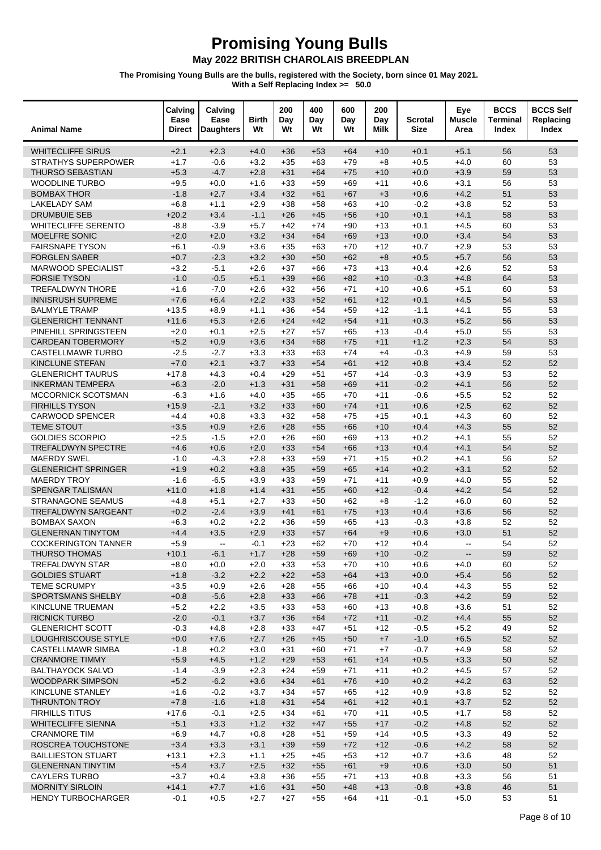| <b>Animal Name</b>                           | Calving<br>Ease<br><b>Direct</b> | Calving<br>Ease<br><b>Daughters</b> | <b>Birth</b><br>Wt | 200<br>Day<br>Wt | 400<br>Day<br>Wt | 600<br>Day<br>Wt | 200<br>Day<br>Milk | <b>Scrotal</b><br><b>Size</b> | Eye<br><b>Muscle</b><br>Area | <b>BCCS</b><br><b>Terminal</b><br>Index | <b>BCCS Self</b><br>Replacing<br>Index |
|----------------------------------------------|----------------------------------|-------------------------------------|--------------------|------------------|------------------|------------------|--------------------|-------------------------------|------------------------------|-----------------------------------------|----------------------------------------|
| <b>WHITECLIFFE SIRUS</b>                     | $+2.1$                           | $+2.3$                              | $+4.0$             | $+36$            | $+53$            | $+64$            | $+10$              | $+0.1$                        | $+5.1$                       | 56                                      | 53                                     |
| <b>STRATHYS SUPERPOWER</b>                   | $+1.7$                           | $-0.6$                              | $+3.2$             | $+35$            | $+63$            | $+79$            | $+8$               | $+0.5$                        | $+4.0$                       | 60                                      | 53                                     |
| <b>THURSO SEBASTIAN</b>                      | $+5.3$                           | $-4.7$                              | $+2.8$             | $+31$            | $+64$            | $+75$            | $+10$              | $+0.0$                        | $+3.9$                       | 59                                      | 53                                     |
| <b>WOODLINE TURBO</b>                        | $+9.5$                           | $+0.0$                              | $+1.6$             | $+33$            | $+59$            | $+69$            | $+11$              | $+0.6$                        | $+3.1$                       | 56                                      | 53                                     |
| <b>BOMBAX THOR</b>                           | $-1.8$                           | $+2.7$                              | $+3.4$             | $+32$            | $+61$            | $+67$            | $+3$               | $+0.6$                        | $+4.2$                       | 51                                      | 53                                     |
| <b>LAKELADY SAM</b>                          | $+6.8$                           | $+1.1$                              | $+2.9$             | $+38$            | $+58$            | $+63$            | $+10$              | $-0.2$                        | $+3.8$                       | 52                                      | 53                                     |
| <b>DRUMBUIE SEB</b>                          | $+20.2$                          | $+3.4$                              | $-1.1$             | $+26$            | $+45$            | $+56$            | $+10$              | $+0.1$                        | $+4.1$                       | 58                                      | 53                                     |
| <b>WHITECLIFFE SERENTO</b>                   | $-8.8$                           | $-3.9$                              | $+5.7$             | $+42$            | $+74$            | $+90$            | $+13$              | $+0.1$                        | $+4.5$                       | 60                                      | 53                                     |
| <b>MOELFRE SONIC</b>                         | $+2.0$                           | $+2.0$                              | $+3.2$             | $+34$            | $+64$            | $+69$            | $+13$              | $+0.0$                        | $+3.4$                       | 54                                      | 53                                     |
| <b>FAIRSNAPE TYSON</b>                       | $+6.1$                           | $-0.9$                              | $+3.6$             | $+35$            | $+63$            | $+70$            | $+12$              | $+0.7$                        | $+2.9$                       | 53                                      | 53                                     |
| <b>FORGLEN SABER</b>                         | $+0.7$                           | $-2.3$                              | $+3.2$             | $+30$            | $+50$            | $+62$            | $+8$               | $+0.5$                        | $+5.7$                       | 56                                      | 53                                     |
| MARWOOD SPECIALIST                           | $+3.2$                           | $-5.1$                              | $+2.6$             | $+37$            | $+66$            | $+73$            | $+13$              | $+0.4$                        | $+2.6$                       | 52                                      | 53                                     |
| <b>FORSIE TYSON</b>                          | $-1.0$                           | $-0.5$                              | $+5.1$             | $+39$            | $+66$            | $+82$            | $+10$              | $-0.3$                        | $+4.8$                       | 64                                      | 53                                     |
| TREFALDWYN THORE<br><b>INNISRUSH SUPREME</b> | $+1.6$<br>$+7.6$                 | $-7.0$<br>$+6.4$                    | $+2.6$<br>$+2.2$   | $+32$<br>$+33$   | $+56$<br>$+52$   | $+71$<br>$+61$   | $+10$              | $+0.6$<br>$+0.1$              | $+5.1$<br>$+4.5$             | 60<br>54                                | 53<br>53                               |
| <b>BALMYLE TRAMP</b>                         | $+13.5$                          | $+8.9$                              | $+1.1$             | $+36$            | $+54$            | $+59$            | $+12$<br>$+12$     | $-1.1$                        | $+4.1$                       | 55                                      | 53                                     |
| <b>GLENERICHT TENNANT</b>                    | $+11.6$                          | $+5.3$                              | $+2.6$             | $+24$            | $+42$            | $+54$            | $+11$              | $+0.3$                        | $+5.2$                       | 56                                      | 53                                     |
| PINEHILL SPRINGSTEEN                         | $+2.0$                           | $+0.1$                              | $+2.5$             | $+27$            | $+57$            | $+65$            | $+13$              | $-0.4$                        | $+5.0$                       | 55                                      | 53                                     |
| <b>CARDEAN TOBERMORY</b>                     | $+5.2$                           | $+0.9$                              | $+3.6$             | $+34$            | $+68$            | $+75$            | $+11$              | $+1.2$                        | $+2.3$                       | 54                                      | 53                                     |
| <b>CASTELLMAWR TURBO</b>                     | $-2.5$                           | $-2.7$                              | $+3.3$             | $+33$            | $+63$            | $+74$            | $+4$               | $-0.3$                        | $+4.9$                       | 59                                      | 53                                     |
| <b>KINCLUNE STEFAN</b>                       | $+7.0$                           | $+2.1$                              | $+3.7$             | $+33$            | $+54$            | $+61$            | $+12$              | $+0.8$                        | $+3.4$                       | 52                                      | 52                                     |
| <b>GLENERICHT TAURUS</b>                     | $+17.8$                          | $+4.3$                              | $+0.4$             | $+29$            | $+51$            | $+57$            | $+14$              | $-0.3$                        | $+3.9$                       | 53                                      | 52                                     |
| <b>INKERMAN TEMPERA</b>                      | $+6.3$                           | $-2.0$                              | $+1.3$             | $+31$            | $+58$            | $+69$            | $+11$              | $-0.2$                        | $+4.1$                       | 56                                      | 52                                     |
| MCCORNICK SCOTSMAN                           | $-6.3$                           | $+1.6$                              | $+4.0$             | $+35$            | $+65$            | $+70$            | $+11$              | $-0.6$                        | $+5.5$                       | 52                                      | 52                                     |
| <b>FIRHILLS TYSON</b>                        | $+15.9$                          | $-2.1$                              | $+3.2$             | $+33$            | $+60$            | $+74$            | $+11$              | $+0.6$                        | $+2.5$                       | 62                                      | 52                                     |
| <b>CARWOOD SPENCER</b>                       | $+4.4$                           | $+0.8$                              | $+3.3$             | $+32$            | $+58$            | $+75$            | $+15$              | $+0.1$                        | $+4.3$                       | 60                                      | 52                                     |
| <b>TEME STOUT</b>                            | $+3.5$                           | $+0.9$                              | $+2.6$             | $+28$            | $+55$            | $+66$            | $+10$              | $+0.4$                        | $+4.3$                       | 55                                      | 52                                     |
| <b>GOLDIES SCORPIO</b>                       | $+2.5$                           | $-1.5$                              | $+2.0$             | $+26$            | $+60$            | $+69$            | $+13$              | $+0.2$                        | $+4.1$                       | 55                                      | 52                                     |
| <b>TREFALDWYN SPECTRE</b>                    | $+4.6$                           | $+0.6$                              | $+2.0$             | $+33$            | $+54$            | $+66$            | $+13$              | $+0.4$                        | $+4.1$                       | 54                                      | 52                                     |
| <b>MAERDY SWEL</b>                           | $-1.0$                           | $-4.3$                              | $+2.8$             | $+33$            | $+59$            | $+71$            | $+15$              | $+0.2$                        | $+4.1$                       | 56                                      | 52                                     |
| <b>GLENERICHT SPRINGER</b>                   | $+1.9$                           | $+0.2$                              | $+3.8$             | $+35$            | $+59$            | $+65$            | $+14$              | $+0.2$                        | $+3.1$                       | 52                                      | 52                                     |
| <b>MAERDY TROY</b>                           | $-1.6$                           | $-6.5$                              | $+3.9$             | $+33$            | $+59$            | $+71$            | $+11$              | $+0.9$                        | $+4.0$                       | 55                                      | 52                                     |
| SPENGAR TALISMAN                             | $+11.0$                          | $+1.8$                              | $+1.4$             | $+31$            | $+55$            | $+60$            | $+12$              | $-0.4$                        | $+4.2$                       | 54                                      | 52                                     |
| <b>STRANAGONE SEAMUS</b>                     | $+4.8$                           | $+5.1$                              | $+2.7$             | $+33$            | $+50$            | $+62$            | $+8$               | $-1.2$                        | $+6.0$                       | 60                                      | 52                                     |
| TREFALDWYN SARGEANT                          | $+0.2$                           | $-2.4$                              | $+3.9$             | $+41$            | $+61$            | $+75$            | $+13$              | $+0.4$                        | $+3.6$                       | 56                                      | 52                                     |
| <b>BOMBAX SAXON</b>                          | $+6.3$                           | $+0.2$                              | $+2.2$             | $+36$            | $+59$            | $+65$            | $+13$              | $-0.3$                        | $+3.8$                       | 52                                      | 52                                     |
| <b>GLENERNAN TINYTOM</b>                     | $+4.4$                           | $+3.5$                              | $+2.9$             | $+33$            | $+57$            | $+64$            | $+9$               | $+0.6$                        | $+3.0$                       | 51                                      | 52                                     |
| <b>COCKERINGTON TANNER</b>                   | $+5.9$                           | $\sim$                              | $-0.1$             | $+23$            | $+62$            | $+70$            | $+12$              | $+0.4$                        | $\overline{\phantom{a}}$     | 54                                      | 52                                     |
| THURSO THOMAS                                | $+10.1$                          | $-6.1$                              | $+1.7$             | $+28$            | $+59$            | $+69$            | $+10$              | $-0.2$                        |                              | 59                                      | 52                                     |
| <b>TREFALDWYN STAR</b>                       | $+8.0$                           | $+0.0$                              | $+2.0$             | $+33$            | $+53$            | $+70$            | +10                | $+0.6$                        | $+4.0$                       | 60                                      | 52                                     |
| <b>GOLDIES STUART</b>                        | $+1.8$                           | $-3.2$                              | $+2.2$             | $+22$            | $+53$            | $+64$            | $+13$              | $+0.0$                        | $+5.4$                       | 56                                      | 52                                     |
| <b>TEME SCRUMPY</b><br>SPORTSMANS SHELBY     | $+3.5$<br>$+0.8$                 | $+0.9$<br>$-5.6$                    | $+2.6$<br>$+2.8$   | $+28$<br>$+33$   | $+55$<br>$+66$   | +66<br>$+78$     | $+10$<br>$+11$     | $+0.4$<br>$-0.3$              | $+4.3$<br>$+4.2$             | 55<br>59                                | 52<br>52                               |
| KINCLUNE TRUEMAN                             | $+5.2$                           | $+2.2$                              | $+3.5$             | $+33$            | $+53$            | $+60$            | $+13$              | $+0.8$                        | $+3.6$                       | 51                                      | 52                                     |
| RICNICK TURBO                                | $-2.0$                           | $-0.1$                              | $+3.7$             | $+36$            | $+64$            | $+72$            | $+11$              | $-0.2$                        | $+4.4$                       | 55                                      | 52                                     |
| <b>GLENERICHT SCOTT</b>                      | $-0.3$                           | $+4.8$                              | $+2.8$             | $+33$            | $+47$            | $+51$            | $+12$              | $-0.5$                        | $+5.2$                       | 49                                      | 52                                     |
| LOUGHRISCOUSE STYLE                          | $+0.0$                           | $+7.6$                              | $+2.7$             | $+26$            | $+45$            | $+50$            | $+7$               | $-1.0$                        | $+6.5$                       | 52                                      | 52                                     |
| <b>CASTELLMAWR SIMBA</b>                     | $-1.8$                           | $+0.2$                              | $+3.0$             | $+31$            | $+60$            | +71              | $+7$               | $-0.7$                        | $+4.9$                       | 58                                      | 52                                     |
| <b>CRANMORE TIMMY</b>                        | $+5.9$                           | $+4.5$                              | $+1.2$             | $+29$            | $+53$            | $+61$            | $+14$              | $+0.5$                        | $+3.3$                       | 50                                      | 52                                     |
| <b>BALTHAYOCK SALVO</b>                      | $-1.4$                           | $-3.9$                              | $+2.3$             | $+24$            | $+59$            | $+71$            | $+11$              | $+0.2$                        | $+4.5$                       | 57                                      | 52                                     |
| <b>WOODPARK SIMPSON</b>                      | $+5.2$                           | $-6.2$                              | $+3.6$             | $+34$            | $+61$            | $+76$            | $+10$              | $+0.2$                        | $+4.2$                       | 63                                      | 52                                     |
| KINCLUNE STANLEY                             | $+1.6$                           | $-0.2$                              | $+3.7$             | $+34$            | $+57$            | $+65$            | $+12$              | $+0.9$                        | $+3.8$                       | 52                                      | 52                                     |
| THRUNTON TROY                                | $+7.8$                           | $-1.6$                              | $+1.8$             | $+31$            | $+54$            | $+61$            | $+12$              | $+0.1$                        | $+3.7$                       | 52                                      | 52                                     |
| <b>FIRHILLS TITUS</b>                        | $+17.6$                          | $-0.1$                              | $+2.5$             | $+34$            | +61              | $+70$            | $+11$              | $+0.5$                        | $+1.7$                       | 58                                      | 52                                     |
| <b>WHITECLIFFE SIENNA</b>                    | $+5.1$                           | $+3.3$                              | $+1.2$             | $+32$            | $+47$            | $+55$            | $+17$              | $-0.2$                        | $+4.8$                       | 52                                      | 52                                     |
| <b>CRANMORE TIM</b>                          | $+6.9$                           | $+4.7$                              | $+0.8$             | $+28$            | $+51$            | $+59$            | +14                | $+0.5$                        | $+3.3$                       | 49                                      | 52                                     |
| ROSCREA TOUCHSTONE                           | $+3.4$                           | $+3.3$                              | $+3.1$             | $+39$            | $+59$            | $+72$            | $+12$              | $-0.6$                        | $+4.2$                       | 58                                      | 52                                     |
| <b>BAILLIESTON STUART</b>                    | $+13.1$                          | $+2.3$                              | $+1.1$             | $+25$            | $+45$            | $+53$            | $+12$              | $+0.7$                        | $+3.6$                       | 48                                      | 52                                     |
| <b>GLENERNAN TINYTIM</b>                     | $+5.4$                           | $+3.7$                              | $+2.5$             | $+32$            | $+55$            | $+61$            | $+9$               | $+0.6$                        | $+3.0$                       | 50                                      | 51                                     |
| <b>CAYLERS TURBO</b>                         | $+3.7$                           | $+0.4$                              | $+3.8$             | $+36$            | $+55$            | $+71$            | $+13$              | $+0.8$                        | $+3.3$                       | 56                                      | 51                                     |
| <b>MORNITY SIRLOIN</b>                       | $+14.1$                          | $+7.7$                              | $+1.6$             | $+31$            | $+50$            | $+48$            | $+13$              | $-0.8$                        | $+3.8$                       | 46                                      | 51                                     |
| HENDY TURBOCHARGER                           | $-0.1$                           | $+0.5$                              | $+2.7$             | $+27$            | $+55$            | $+64$            | $+11$              | $-0.1$                        | $+5.0$                       | 53                                      | 51                                     |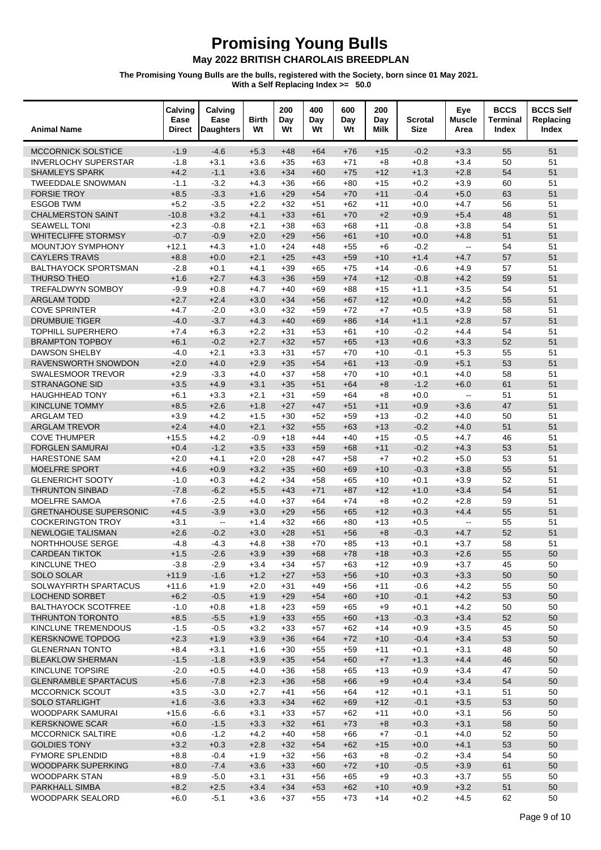| <b>Animal Name</b>                                  | Calving<br>Ease<br><b>Direct</b> | Calving<br>Ease<br><b>Daughters</b>           | <b>Birth</b><br>Wt | 200<br>Day<br>Wt | 400<br>Day<br>Wt | 600<br>Day<br>Wt | 200<br>Day<br>Milk | <b>Scrotal</b><br><b>Size</b> | Eye<br><b>Muscle</b><br>Area | <b>BCCS</b><br>Terminal<br>Index | <b>BCCS Self</b><br>Replacing<br>Index |
|-----------------------------------------------------|----------------------------------|-----------------------------------------------|--------------------|------------------|------------------|------------------|--------------------|-------------------------------|------------------------------|----------------------------------|----------------------------------------|
| <b>MCCORNICK SOLSTICE</b>                           | $-1.9$                           | $-4.6$                                        | $+5.3$             | $+48$            | $+64$            | $+76$            | $+15$              | $-0.2$                        | $+3.3$                       | 55                               | 51                                     |
| <b>INVERLOCHY SUPERSTAR</b>                         | $-1.8$                           | $+3.1$                                        | $+3.6$             | $+35$            | $+63$            | $+71$            | $+8$               | $+0.8$                        | $+3.4$                       | 50                               | 51                                     |
| <b>SHAMLEYS SPARK</b>                               | $+4.2$                           | $-1.1$                                        | $+3.6$             | $+34$            | $+60$            | $+75$            | $+12$              | $+1.3$                        | $+2.8$                       | 54                               | 51                                     |
| <b>TWEEDDALE SNOWMAN</b>                            | $-1.1$                           | $-3.2$                                        | $+4.3$             | $+36$            | $+66$            | $+80$            | $+15$              | $+0.2$                        | $+3.9$                       | 60                               | 51                                     |
| <b>FORSIE TROY</b>                                  | $+8.5$                           | $-3.3$                                        | $+1.6$             | $+29$            | $+54$            | $+70$            | $+11$              | $-0.4$                        | $+5.0$                       | 63                               | 51                                     |
| <b>ESGOB TWM</b>                                    | $+5.2$                           | $-3.5$                                        | $+2.2$             | $+32$            | $+51$            | $+62$            | $+11$              | $+0.0$                        | $+4.7$                       | 56                               | 51                                     |
| <b>CHALMERSTON SAINT</b><br><b>SEAWELL TONI</b>     | $-10.8$<br>$+2.3$                | $+3.2$<br>$-0.8$                              | $+4.1$<br>$+2.1$   | $+33$<br>$+38$   | $+61$<br>$+63$   | $+70$<br>$+68$   | $+2$<br>$+11$      | $+0.9$<br>$-0.8$              | $+5.4$<br>$+3.8$             | 48<br>54                         | 51<br>51                               |
| <b>WHITECLIFFE STORMSY</b>                          | $-0.7$                           | $-0.9$                                        | $+2.0$             | $+29$            | $+56$            | $+61$            | $+10$              | $+0.0$                        | $+4.8$                       | 51                               | 51                                     |
| MOUNTJOY SYMPHONY                                   | $+12.1$                          | $+4.3$                                        | $+1.0$             | $+24$            | $+48$            | $+55$            | $+6$               | $-0.2$                        | $\sim$ $\sim$                | 54                               | 51                                     |
| <b>CAYLERS TRAVIS</b>                               | $+8.8$                           | $+0.0$                                        | $+2.1$             | $+25$            | $+43$            | $+59$            | $+10$              | $+1.4$                        | $+4.7$                       | 57                               | 51                                     |
| <b>BALTHAYOCK SPORTSMAN</b>                         | $-2.8$                           | $+0.1$                                        | $+4.1$             | $+39$            | $+65$            | $+75$            | $+14$              | $-0.6$                        | $+4.9$                       | 57                               | 51                                     |
| THURSO THEO                                         | $+1.6$                           | $+2.7$                                        | $+4.3$             | $+36$            | $+59$            | $+74$            | $+12$              | $-0.8$                        | $+4.2$                       | 59                               | 51                                     |
| <b>TREFALDWYN SOMBOY</b>                            | $-9.9$                           | $+0.8$                                        | $+4.7$             | $+40$            | $+69$            | $+88$            | $+15$              | $+1.1$                        | $+3.5$                       | 54                               | 51                                     |
| <b>ARGLAM TODD</b>                                  | $+2.7$                           | $+2.4$                                        | $+3.0$             | $+34$            | $+56$            | $+67$            | $+12$              | $+0.0$                        | $+4.2$                       | 55                               | 51                                     |
| <b>COVE SPRINTER</b>                                | $+4.7$                           | $-2.0$                                        | $+3.0$             | $+32$            | $+59$            | $+72$            | $+7$               | $+0.5$                        | $+3.9$                       | 58                               | 51                                     |
| <b>DRUMBUIE TIGER</b>                               | $-4.0$                           | $-3.7$                                        | $+4.3$             | $+40$            | $+69$            | $+86$            | $+14$              | $+1.1$                        | $+2.8$                       | 57                               | 51                                     |
| <b>TOPHILL SUPERHERO</b>                            | $+7.4$                           | $+6.3$                                        | $+2.2$             | $+31$            | $+53$            | $+61$            | $+10$              | $-0.2$                        | $+4.4$                       | 54                               | 51                                     |
| <b>BRAMPTON TOPBOY</b><br>DAWSON SHELBY             | $+6.1$<br>$-4.0$                 | $-0.2$<br>$+2.1$                              | $+2.7$<br>$+3.3$   | $+32$<br>$+31$   | $+57$<br>$+57$   | $+65$<br>$+70$   | $+13$<br>$+10$     | $+0.6$<br>$-0.1$              | $+3.3$<br>$+5.3$             | 52<br>55                         | 51<br>51                               |
| RAVENSWORTH SNOWDON                                 | $+2.0$                           | $+4.0$                                        | $+2.9$             | $+35$            | $+54$            | $+61$            | $+13$              | $-0.9$                        | $+5.1$                       | 53                               | 51                                     |
| SWALESMOOR TREVOR                                   | $+2.9$                           | $-3.3$                                        | $+4.0$             | $+37$            | $+58$            | $+70$            | $+10$              | $+0.1$                        | $+4.0$                       | 58                               | 51                                     |
| <b>STRANAGONE SID</b>                               | $+3.5$                           | $+4.9$                                        | $+3.1$             | $+35$            | $+51$            | $+64$            | $+8$               | $-1.2$                        | $+6.0$                       | 61                               | 51                                     |
| <b>HAUGHHEAD TONY</b>                               | $+6.1$                           | $+3.3$                                        | $+2.1$             | $+31$            | $+59$            | $+64$            | $+8$               | $+0.0$                        | ц.                           | 51                               | 51                                     |
| <b>KINCLUNE TOMMY</b>                               | $+8.5$                           | $+2.6$                                        | $+1.8$             | $+27$            | $+47$            | $+51$            | $+11$              | $+0.9$                        | $+3.6$                       | 47                               | 51                                     |
| <b>ARGLAM TED</b>                                   | $+3.9$                           | $+4.2$                                        | $+1.5$             | $+30$            | $+52$            | $+59$            | $+13$              | $-0.2$                        | $+4.0$                       | 50                               | 51                                     |
| <b>ARGLAM TREVOR</b>                                | $+2.4$                           | $+4.0$                                        | $+2.1$             | $+32$            | $+55$            | $+63$            | $+13$              | $-0.2$                        | $+4.0$                       | 51                               | 51                                     |
| <b>COVE THUMPER</b>                                 | $+15.5$                          | $+4.2$                                        | $-0.9$             | $+18$            | $+44$            | $+40$            | $+15$              | $-0.5$                        | $+4.7$                       | 46                               | 51                                     |
| <b>FORGLEN SAMURAI</b>                              | $+0.4$                           | $-1.2$                                        | $+3.5$             | $+33$            | $+59$            | $+68$            | $+11$              | $-0.2$                        | $+4.3$                       | 53                               | 51                                     |
| <b>HARESTONE SAM</b>                                | $+2.0$                           | $+4.1$                                        | $+2.0$             | $+28$            | $+47$            | $+58$            | $+7$               | $+0.2$                        | $+5.0$                       | 53                               | 51                                     |
| <b>MOELFRE SPORT</b>                                | $+4.6$                           | $+0.9$                                        | $+3.2$             | $+35$            | $+60$            | $+69$            | $+10$              | $-0.3$                        | $+3.8$                       | 55                               | 51                                     |
| <b>GLENERICHT SOOTY</b><br><b>THRUNTON SINBAD</b>   | $-1.0$<br>$-7.8$                 | $+0.3$<br>$-6.2$                              | $+4.2$<br>$+5.5$   | $+34$<br>$+43$   | $+58$<br>$+71$   | $+65$<br>$+87$   | $+10$<br>$+12$     | $+0.1$<br>$+1.0$              | $+3.9$<br>$+3.4$             | 52<br>54                         | 51<br>51                               |
| <b>MOELFRE SAMOA</b>                                | $+7.6$                           | $-2.5$                                        | $+4.0$             | $+37$            | $+64$            | $+74$            | $+8$               | $+0.2$                        | $+2.8$                       | 59                               | 51                                     |
| <b>GRETNAHOUSE SUPERSONIC</b>                       | $+4.5$                           | $-3.9$                                        | $+3.0$             | $+29$            | $+56$            | $+65$            | $+12$              | $+0.3$                        | $+4.4$                       | 55                               | 51                                     |
| <b>COCKERINGTON TROY</b>                            | $+3.1$                           | $\mathord{\hspace{1pt}\text{--}\hspace{1pt}}$ | $+1.4$             | $+32$            | $+66$            | $+80$            | $+13$              | $+0.5$                        | Ξ.                           | 55                               | 51                                     |
| <b>NEWLOGIE TALISMAN</b>                            | $+2.6$                           | $-0.2$                                        | $+3.0$             | $+28$            | $+51$            | $+56$            | $+8$               | $-0.3$                        | $+4.7$                       | 52                               | 51                                     |
| NORTHHOUSE SERGE                                    | $-4.8$                           | $-4.3$                                        | $+4.8$             | $+38$            | $+70$            | $+85$            | $+13$              | $+0.1$                        | $+3.7$                       | 58                               | 51                                     |
| <b>CARDEAN TIKTOK</b>                               | $+1.5$                           | $-2.6$                                        | $+3.9$             | $+39$            | $+68$            | $+78$            | $+18$              | $+0.3$                        | $+2.6$                       | 55                               | 50                                     |
| KINCLUNE THEO                                       | $-3.8$                           | $-2.9$                                        | $+3.4$             | $+34$            | $+57$            | +63              | +12                | $+0.9$                        | $+3.7$                       | 45                               | 50                                     |
| <b>SOLO SOLAR</b>                                   | $+11.9$                          | $-1.6$                                        | $+1.2$             | $+27$            | $+53$            | $+56$            | $+10$              | $+0.3$                        | $+3.3$                       | 50                               | 50                                     |
| SOLWAYFIRTH SPARTACUS                               | $+11.6$                          | $+1.9$                                        | $+2.0$             | $+31$            | $+49$            | +56              | $+11$              | $-0.6$                        | $+4.2$                       | 55                               | 50                                     |
| <b>LOCHEND SORBET</b><br><b>BALTHAYOCK SCOTFREE</b> | $+6.2$<br>$-1.0$                 | $-0.5$<br>$+0.8$                              | $+1.9$<br>$+1.8$   | $+29$<br>$+23$   | $+54$<br>$+59$   | $+60$<br>$+65$   | $+10$<br>$+9$      | $-0.1$<br>$+0.1$              | $+4.2$<br>$+4.2$             | 53<br>50                         | 50<br>50                               |
| <b>THRUNTON TORONTO</b>                             | $+8.5$                           | $-5.5$                                        | $+1.9$             | $+33$            | $+55$            | $+60$            | $+13$              | $-0.3$                        | $+3.4$                       | 52                               | 50                                     |
| KINCLUNE TREMENDOUS                                 | $-1.5$                           | $-0.5$                                        | $+3.2$             | $+33$            | $+57$            | $+62$            | $+14$              | $+0.9$                        | $+3.5$                       | 45                               | 50                                     |
| <b>KERSKNOWE TOPDOG</b>                             | $+2.3$                           | $+1.9$                                        | $+3.9$             | $+36$            | $+64$            | $+72$            | $+10$              | $-0.4$                        | $+3.4$                       | 53                               | 50                                     |
| <b>GLENERNAN TONTO</b>                              | $+8.4$                           | $+3.1$                                        | $+1.6$             | $+30$            | $+55$            | $+59$            | +11                | $+0.1$                        | $+3.1$                       | 48                               | 50                                     |
| <b>BLEAKLOW SHERMAN</b>                             | $-1.5$                           | $-1.8$                                        | $+3.9$             | $+35$            | $+54$            | $+60$            | $+7$               | $+1.3$                        | $+4.4$                       | 46                               | 50                                     |
| KINCLUNE TOPSIRE                                    | $-2.0$                           | $+0.5$                                        | $+4.0$             | $+36$            | $+58$            | $+65$            | $+13$              | $+0.9$                        | $+3.4$                       | 47                               | 50                                     |
| <b>GLENRAMBLE SPARTACUS</b>                         | $+5.6$                           | $-7.8$                                        | $+2.3$             | $+36$            | $+58$            | $+66$            | $+9$               | $+0.4$                        | $+3.4$                       | 54                               | 50                                     |
| <b>MCCORNICK SCOUT</b>                              | $+3.5$                           | $-3.0$                                        | $+2.7$             | $+41$            | $+56$            | $+64$            | $+12$              | $+0.1$                        | $+3.1$                       | 51                               | 50                                     |
| <b>SOLO STARLIGHT</b>                               | $+1.6$                           | $-3.6$                                        | $+3.3$             | $+34$            | $+62$            | $+69$            | $+12$              | $-0.1$                        | $+3.5$                       | 53                               | 50                                     |
| WOODPARK SAMURAI<br><b>KERSKNOWE SCAR</b>           | $+15.6$<br>$+6.0$                | $-6.6$<br>$-1.5$                              | $+3.1$<br>$+3.3$   | $+33$<br>$+32$   | $+57$<br>$+61$   | $+62$<br>$+73$   | $+11$<br>$+8$      | $+0.0$<br>$+0.3$              | $+3.1$<br>$+3.1$             | 56<br>58                         | 50<br>50                               |
| <b>MCCORNICK SALTIRE</b>                            | $+0.6$                           | $-1.2$                                        | $+4.2$             | $+40$            | $+58$            | +66              | $+7$               | $-0.1$                        | $+4.0$                       | 52                               | 50                                     |
| <b>GOLDIES TONY</b>                                 | $+3.2$                           | $+0.3$                                        | $+2.8$             | $+32$            | $+54$            | $+62$            | $+15$              | $+0.0$                        | $+4.1$                       | 53                               | 50                                     |
| <b>FYMORE SPLENDID</b>                              | $+8.8$                           | $-0.4$                                        | $+1.9$             | $+32$            | $+56$            | $+63$            | $+8$               | $-0.2$                        | $+3.4$                       | 54                               | 50                                     |
| WOODPARK SUPERKING                                  | $+8.0$                           | $-7.4$                                        | $+3.6$             | $+33$            | $+60$            | $+72$            | $+10$              | $-0.5$                        | $+3.9$                       | 61                               | 50                                     |
| <b>WOODPARK STAN</b>                                | $+8.9$                           | $-5.0$                                        | $+3.1$             | $+31$            | $+56$            | $+65$            | $+9$               | $+0.3$                        | $+3.7$                       | 55                               | 50                                     |
| PARKHALL SIMBA                                      | $+8.2$                           | $+2.5$                                        | $+3.4$             | $+34$            | $+53$            | $+62$            | $+10$              | $+0.9$                        | $+3.2$                       | 51                               | 50                                     |
| <b>WOODPARK SEALORD</b>                             | $+6.0$                           | $-5.1$                                        | $+3.6$             | $+37$            | $+55$            | $+73$            | $+14$              | $+0.2$                        | $+4.5$                       | 62                               | 50                                     |